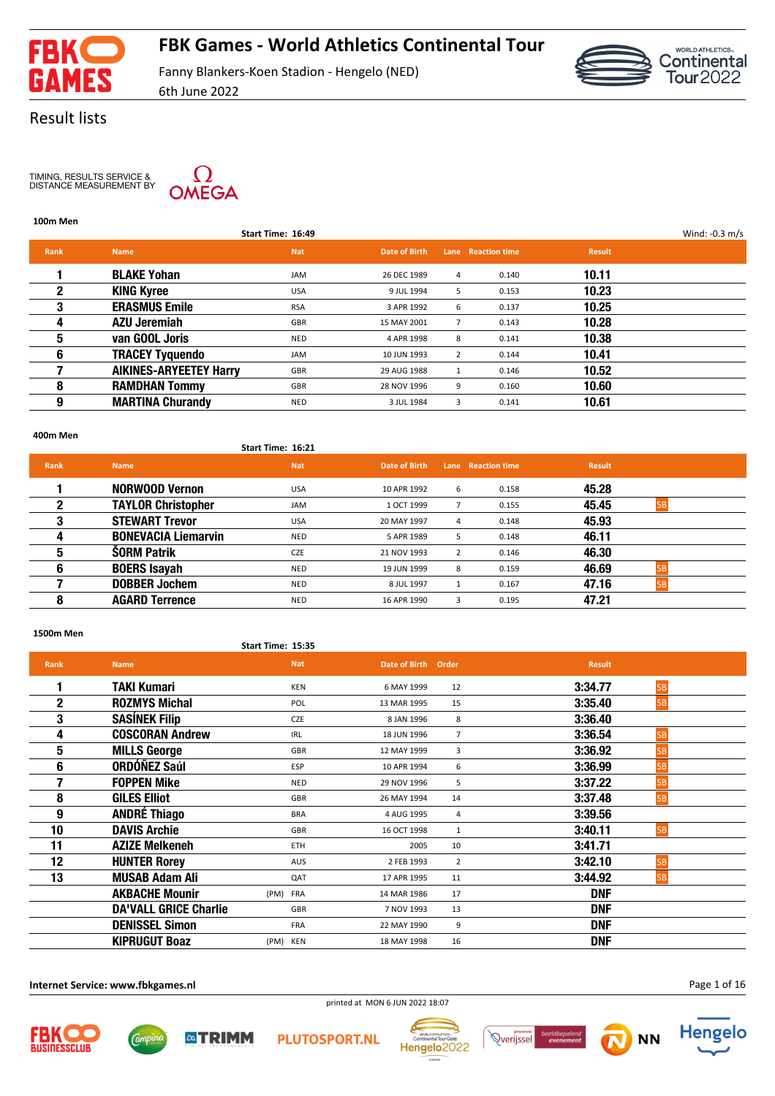

# **FBK Games - World Athletics Continental Tour**

Fanny Blankers-Koen Stadion - Hengelo (NED) 6th June 2022



### Result lists

TIMING, RESULTS SERVICE & DISTANCE MEASUREMENT BY



### **100m Men**

|             |                               | Start Time: 16:49 |               |                |                    |               | Wind: $-0.3$ m/s |
|-------------|-------------------------------|-------------------|---------------|----------------|--------------------|---------------|------------------|
| <b>Rank</b> | <b>Name</b>                   | <b>Nat</b>        | Date of Birth |                | Lane Reaction time | <b>Result</b> |                  |
|             | <b>BLAKE Yohan</b>            | JAM               | 26 DEC 1989   | 4              | 0.140              | 10.11         |                  |
| 2           | <b>KING Kyree</b>             | <b>USA</b>        | 9 JUL 1994    | 5              | 0.153              | 10.23         |                  |
| 3           | <b>ERASMUS Emile</b>          | <b>RSA</b>        | 3 APR 1992    | 6              | 0.137              | 10.25         |                  |
| 4           | <b>AZU Jeremiah</b>           | GBR               | 15 MAY 2001   |                | 0.143              | 10.28         |                  |
| 5           | van GOOL Joris                | <b>NED</b>        | 4 APR 1998    | 8              | 0.141              | 10.38         |                  |
| 6           | <b>TRACEY Tyquendo</b>        | <b>JAM</b>        | 10 JUN 1993   | $\overline{2}$ | 0.144              | 10.41         |                  |
|             | <b>AIKINES-ARYEETEY Harry</b> | GBR               | 29 AUG 1988   | 1              | 0.146              | 10.52         |                  |
| 8           | <b>RAMDHAN Tommy</b>          | GBR               | 28 NOV 1996   | 9              | 0.160              | 10.60         |                  |
| 9           | <b>MARTINA Churandy</b>       | <b>NED</b>        | 3 JUL 1984    | 3              | 0.141              | 10.61         |                  |
|             |                               |                   |               |                |                    |               |                  |

#### **400m Men**

#### **Start Time: 16:21**

| <b>Rank</b> | <b>Name</b>                | <b>Nat</b> | Date of Birth |                | Lane Reaction time | <b>Result</b> |  |
|-------------|----------------------------|------------|---------------|----------------|--------------------|---------------|--|
|             | <b>NORWOOD Vernon</b>      | <b>USA</b> | 10 APR 1992   | 6              | 0.158              | 45.28         |  |
|             | <b>TAYLOR Christopher</b>  | <b>JAM</b> | 1 OCT 1999    |                | 0.155              | 45.45         |  |
| 3           | <b>STEWART Trevor</b>      | <b>USA</b> | 20 MAY 1997   | 4              | 0.148              | 45.93         |  |
|             | <b>BONEVACIA Liemarvin</b> | <b>NED</b> | 5 APR 1989    | 5              | 0.148              | 46.11         |  |
| 5           | <b>SORM Patrik</b>         | <b>CZE</b> | 21 NOV 1993   | $\overline{2}$ | 0.146              | 46.30         |  |
| 6           | <b>BOERS Isayah</b>        | <b>NED</b> | 19 JUN 1999   | 8              | 0.159              | 46.69         |  |
|             | <b>DOBBER Jochem</b>       | <b>NED</b> | 8 JUL 1997    |                | 0.167              | 47.16         |  |
|             | <b>AGARD Terrence</b>      | <b>NED</b> | 16 APR 1990   | 3              | 0.195              | 47.21         |  |

### **1500m Men**

|             |                              | Start Time: 15:35 |                     |                |                      |  |
|-------------|------------------------------|-------------------|---------------------|----------------|----------------------|--|
| <b>Rank</b> | <b>Name</b>                  | <b>Nat</b>        | Date of Birth Order |                | <b>Result</b>        |  |
| 1           | <b>TAKI Kumari</b>           | <b>KEN</b>        | 6 MAY 1999          | 12             | <b>SB</b><br>3:34.77 |  |
| 2           | <b>ROZMYS Michal</b>         | POL               | 13 MAR 1995         | 15             | 3:35.40<br><b>SB</b> |  |
| 3           | <b>SASÍNEK Filip</b>         | CZE               | 8 JAN 1996          | 8              | 3:36.40              |  |
| 4           | <b>COSCORAN Andrew</b>       | <b>IRL</b>        | 18 JUN 1996         | $\overline{7}$ | 3:36.54<br><b>SB</b> |  |
| 5           | <b>MILLS George</b>          | GBR               | 12 MAY 1999         | 3              | 3:36.92<br><b>SB</b> |  |
| 6           | <b>ORDÓÑEZ Saúl</b>          | <b>ESP</b>        | 10 APR 1994         | 6              | 3:36.99<br><b>SB</b> |  |
| 7           | <b>FOPPEN Mike</b>           | <b>NED</b>        | 29 NOV 1996         | 5              | 3:37.22<br><b>SB</b> |  |
| 8           | <b>GILES Elliot</b>          | <b>GBR</b>        | 26 MAY 1994         | 14             | 3:37.48<br><b>SB</b> |  |
| 9           | <b>ANDRÉ Thiago</b>          | <b>BRA</b>        | 4 AUG 1995          | 4              | 3:39.56              |  |
| 10          | <b>DAVIS Archie</b>          | <b>GBR</b>        | 16 OCT 1998         | $\mathbf{1}$   | 3:40.11<br><b>SB</b> |  |
| 11          | <b>AZIZE Melkeneh</b>        | <b>ETH</b>        | 2005                | 10             | 3:41.71              |  |
| 12          | <b>HUNTER Rorey</b>          | <b>AUS</b>        | 2 FEB 1993          | $\overline{2}$ | 3:42.10<br><b>SB</b> |  |
| 13          | <b>MUSAB Adam Ali</b>        | QAT               | 17 APR 1995         | 11             | 3:44.92<br> SB       |  |
|             | <b>AKBACHE Mounir</b>        | (PM) FRA          | 14 MAR 1986         | 17             | <b>DNF</b>           |  |
|             | <b>DA'VALL GRICE Charlie</b> | GBR               | 7 NOV 1993          | 13             | <b>DNF</b>           |  |
|             | <b>DENISSEL Simon</b>        | <b>FRA</b>        | 22 MAY 1990         | 9              | <b>DNF</b>           |  |
|             | <b>KIPRUGUT Boaz</b>         | (PM) KEN          | 18 MAY 1998         | 16             | <b>DNF</b>           |  |

**Internet Service: www.fbkgames.nl**

Page 1 of 16









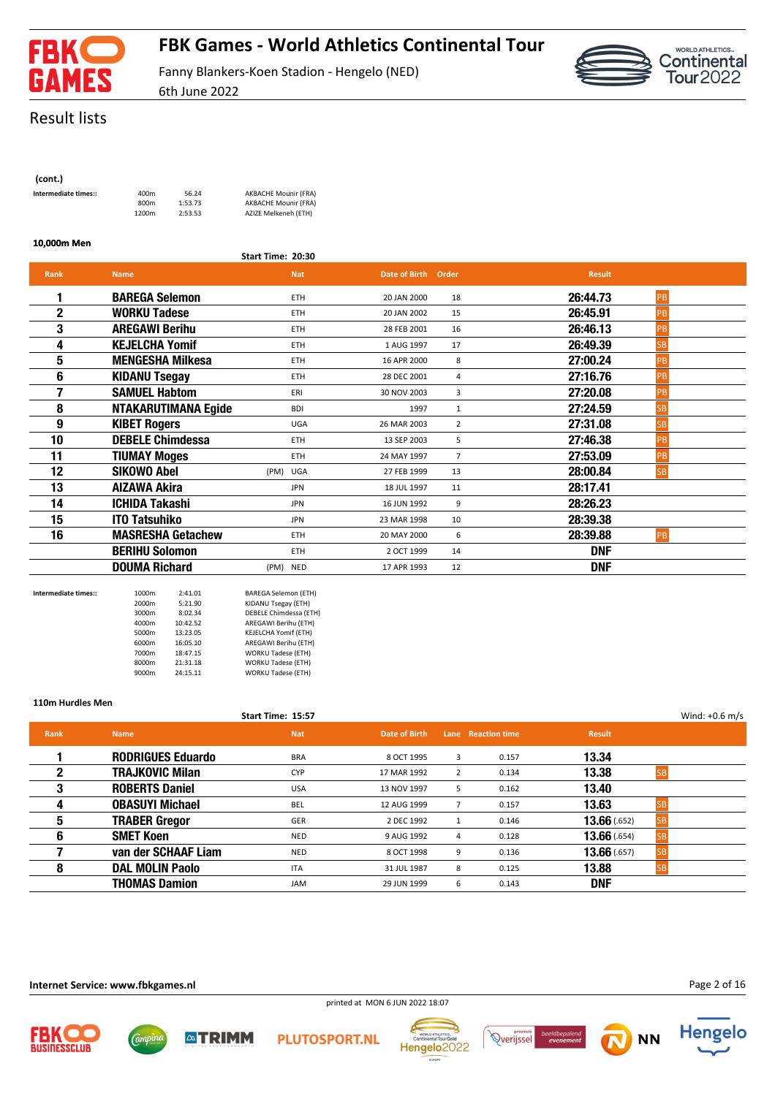

# **FBK Games - World Athletics Continental Tour**

Fanny Blankers-Koen Stadion - Hengelo (NED)



Result lists

| (cont.)              |                  |
|----------------------|------------------|
| Intermediate times:: | 400m             |
|                      | 800 <sub>m</sub> |
|                      | 1200m            |

**Intermediate times::** 400m 56.24 AKBACHE Mounir (FRA) 800m 1:53.73 AKBACHE Mounir (FRA) 1200m 2:53.53 AZIZE Melkeneh (ETH)

**Start Time: 20:30**

6th June 2022

#### **10,000m Men**

| <b>Rank</b>  | <b>Name</b>                |          | <b>Nat</b> | Date of Birth Order |                | <b>Result</b> |           |
|--------------|----------------------------|----------|------------|---------------------|----------------|---------------|-----------|
|              | <b>BAREGA Selemon</b>      |          | <b>ETH</b> | 20 JAN 2000         | 18             | 26:44.73      | PB        |
| $\mathbf{2}$ | <b>WORKU Tadese</b>        |          | <b>ETH</b> | 20 JAN 2002         | 15             | 26:45.91      | PB        |
| 3            | <b>AREGAWI Berihu</b>      |          | <b>ETH</b> | 28 FEB 2001         | 16             | 26:46.13      | PB        |
| 4            | <b>KEJELCHA Yomif</b>      |          | <b>ETH</b> | 1 AUG 1997          | 17             | 26:49.39      | SB        |
| 5            | <b>MENGESHA Milkesa</b>    |          | <b>ETH</b> | 16 APR 2000         | 8              | 27:00.24      | PB        |
| 6            | <b>KIDANU Tsegay</b>       |          | ETH        | 28 DEC 2001         | 4              | 27:16.76      | PB        |
| 7            | <b>SAMUEL Habtom</b>       |          | ERI        | 30 NOV 2003         | 3              | 27:20.08      | PB        |
| 8            | <b>NTAKARUTIMANA Egide</b> |          | <b>BDI</b> | 1997                | 1              | 27:24.59      | SB        |
| 9            | <b>KIBET Rogers</b>        |          | <b>UGA</b> | 26 MAR 2003         | $\overline{2}$ | 27:31.08      | <b>SB</b> |
| 10           | <b>DEBELE Chimdessa</b>    |          | <b>ETH</b> | 13 SEP 2003         | 5              | 27:46.38      | PB        |
| 11           | <b>TIUMAY Moges</b>        |          | <b>ETH</b> | 24 MAY 1997         | $\overline{7}$ | 27:53.09      | PB        |
| 12           | <b>SIKOWO Abel</b>         |          | (PM) UGA   | 27 FEB 1999         | 13             | 28:00.84      | <b>SB</b> |
| 13           | AIZAWA Akira               |          | <b>JPN</b> | 18 JUL 1997         | 11             | 28:17.41      |           |
| 14           | <b>ICHIDA Takashi</b>      |          | <b>JPN</b> | 16 JUN 1992         | 9              | 28:26.23      |           |
| 15           | <b>ITO Tatsuhiko</b>       |          | <b>JPN</b> | 23 MAR 1998         | 10             | 28:39.38      |           |
| 16           | <b>MASRESHA Getachew</b>   |          | <b>ETH</b> | 20 MAY 2000         | 6              | 28:39.88      | PB        |
|              | <b>BERIHU Solomon</b>      |          | <b>ETH</b> | 2 OCT 1999          | 14             | <b>DNF</b>    |           |
|              | <b>DOUMA Richard</b>       | (PM) NED |            | 17 APR 1993         | 12             | <b>DNF</b>    |           |

| Intermediate times:: | 1000m | 2:41.01  | <b>BAREGA Selemon (ETH)</b> |
|----------------------|-------|----------|-----------------------------|
|                      | 2000m | 5:21.90  | KIDANU Tsegay (ETH)         |
|                      | 3000m | 8:02.34  | DEBELE Chimdessa (ETH)      |
|                      | 4000m | 10:42.52 | AREGAWI Berihu (ETH)        |
|                      | 5000m | 13:23.05 | KEJELCHA Yomif (ETH)        |
|                      | 6000m | 16:05.10 | AREGAWI Berihu (ETH)        |
|                      | 7000m | 18:47.15 | <b>WORKU Tadese (ETH)</b>   |
|                      | 8000m | 21:31.18 | <b>WORKU Tadese (ETH)</b>   |
|                      | 9000m | 24:15.11 | <b>WORKU Tadese (ETH)</b>   |

**ATRIMM** 

#### **110m Hurdles Men**

|      |                          | Start Time: 15:57 |               |   |                    |                           | Wind: $+0.6$ m/s |
|------|--------------------------|-------------------|---------------|---|--------------------|---------------------------|------------------|
| Rank | <b>Name</b>              | <b>Nat</b>        | Date of Birth |   | Lane Reaction time | <b>Result</b>             |                  |
|      | <b>RODRIGUES Eduardo</b> | BRA               | 8 OCT 1995    | 3 | 0.157              | 13.34                     |                  |
| 2    | <b>TRAJKOVIC Milan</b>   | <b>CYP</b>        | 17 MAR 1992   | 2 | 0.134              | 13.38                     |                  |
| 3    | <b>ROBERTS Daniel</b>    | <b>USA</b>        | 13 NOV 1997   | 5 | 0.162              | 13.40                     |                  |
| 4    | <b>OBASUYI Michael</b>   | <b>BEL</b>        | 12 AUG 1999   |   | 0.157              | 13.63                     |                  |
| 5    | <b>TRABER Gregor</b>     | GER               | 2 DEC 1992    | 1 | 0.146              | 13.66(0.652)<br><b>SB</b> |                  |
| 6    | <b>SMET Koen</b>         | NED               | 9 AUG 1992    | 4 | 0.128              | 13.66(0.654)<br>lsb       |                  |
|      | van der SCHAAF Liam      | <b>NED</b>        | 8 OCT 1998    | 9 | 0.136              | 13.66(0.657)              |                  |
| 8    | <b>DAL MOLIN Paolo</b>   | <b>ITA</b>        | 31 JUL 1987   | 8 | 0.125              | 13.88                     |                  |
|      | <b>THOMAS Damion</b>     | <b>JAM</b>        | 29 JUN 1999   | 6 | 0.143              | <b>DNF</b>                |                  |

#### **Internet Service: www.fbkgames.nl**

Campin











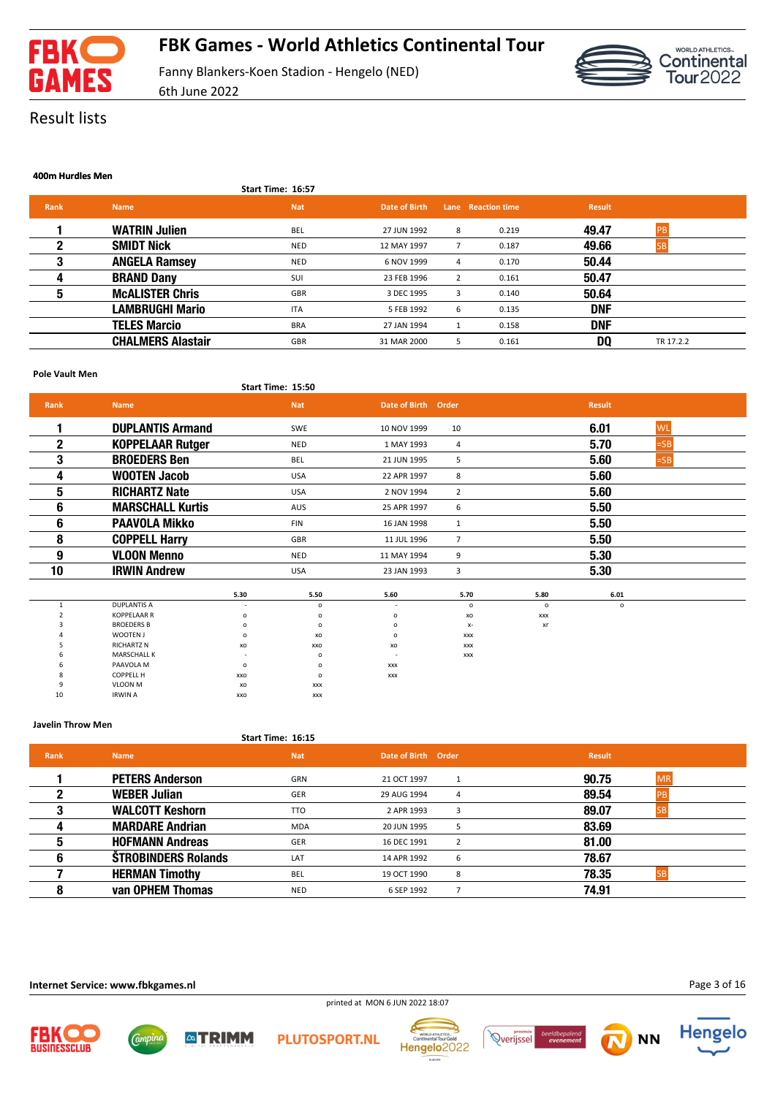

6th June 2022



Result lists

#### **400m Hurdles Men**

|             |                          | Start Time: 16:57 |               |   |                    |               |           |
|-------------|--------------------------|-------------------|---------------|---|--------------------|---------------|-----------|
| <b>Rank</b> | <b>Name</b>              | <b>Nat</b>        | Date of Birth |   | Lane Reaction time | <b>Result</b> |           |
|             | <b>WATRIN Julien</b>     | <b>BEL</b>        | 27 JUN 1992   | 8 | 0.219              | 49.47         | PB        |
|             | <b>SMIDT Nick</b>        | <b>NED</b>        | 12 MAY 1997   |   | 0.187              | 49.66         |           |
|             | <b>ANGELA Ramsey</b>     | <b>NED</b>        | 6 NOV 1999    | 4 | 0.170              | 50.44         |           |
| 4           | <b>BRAND Dany</b>        | SUI               | 23 FEB 1996   | 2 | 0.161              | 50.47         |           |
| 5           | <b>McALISTER Chris</b>   | GBR               | 3 DEC 1995    | 3 | 0.140              | 50.64         |           |
|             | LAMBRUGHI Mario          | <b>ITA</b>        | 5 FEB 1992    | 6 | 0.135              | <b>DNF</b>    |           |
|             | <b>TELES Marcio</b>      | <b>BRA</b>        | 27 JAN 1994   | 1 | 0.158              | <b>DNF</b>    |           |
|             | <b>CHALMERS Alastair</b> | GBR               | 31 MAR 2000   | 5 | 0.161              | DQ            | TR 17.2.2 |

#### **Pole Vault Men**

| .            |                         |         |                   |                          |                |                |               |           |  |
|--------------|-------------------------|---------|-------------------|--------------------------|----------------|----------------|---------------|-----------|--|
|              |                         |         | Start Time: 15:50 |                          |                |                |               |           |  |
| <b>Rank</b>  | <b>Name</b>             |         | <b>Nat</b>        | Date of Birth            | Order          |                | <b>Result</b> |           |  |
| 1            | <b>DUPLANTIS Armand</b> |         | SWE               | 10 NOV 1999              | 10             |                | 6.01          | <b>WL</b> |  |
| $\mathbf{2}$ | <b>KOPPELAAR Rutger</b> |         | <b>NED</b>        | 1 MAY 1993               | 4              |                | 5.70          | $=SB$     |  |
| 3            | <b>BROEDERS Ben</b>     |         | BEL               | 21 JUN 1995              | 5              |                | 5.60          | $=SB$     |  |
| 4            | <b>WOOTEN Jacob</b>     |         | <b>USA</b>        | 22 APR 1997              | 8              |                | 5.60          |           |  |
| 5            | <b>RICHARTZ Nate</b>    |         | <b>USA</b>        | 2 NOV 1994               | $\overline{2}$ |                | 5.60          |           |  |
| 6            | <b>MARSCHALL Kurtis</b> |         | AUS               | 25 APR 1997              | 6              |                | 5.50          |           |  |
| 6            | <b>PAAVOLA Mikko</b>    |         | <b>FIN</b>        | 16 JAN 1998              | $\mathbf{1}$   |                | 5.50          |           |  |
| 8            | <b>COPPELL Harry</b>    |         | <b>GBR</b>        | 11 JUL 1996              | $\overline{7}$ |                | 5.50          |           |  |
| 9            | <b>VLOON Menno</b>      |         | <b>NED</b>        | 11 MAY 1994              | 9              |                | 5.30          |           |  |
| 10           | <b>IRWIN Andrew</b>     |         | <b>USA</b>        | 23 JAN 1993              | 3              |                | 5.30          |           |  |
|              |                         | 5.30    | 5.50              | 5.60                     | 5.70           | 5.80           | 6.01          |           |  |
| 1            | <b>DUPLANTIS A</b>      |         | $\mathsf{o}\,$    |                          | $\circ$        | $\mathsf{o}\,$ | $\circ$       |           |  |
|              | <b>KOPPELAAR R</b>      | o       | $\mathsf{o}$      | o                        | xo             | <b>XXX</b>     |               |           |  |
|              | <b>BROEDERS B</b>       | $\circ$ | $\circ$           | o                        | $X-$           | xr             |               |           |  |
|              | WOOTEN J                | o       | xo                | o                        | <b>XXX</b>     |                |               |           |  |
|              | <b>RICHARTZ N</b>       | xo      | xxo               | xo                       | <b>XXX</b>     |                |               |           |  |
|              | <b>MARSCHALL K</b>      |         | $\circ$           | $\overline{\phantom{a}}$ | <b>XXX</b>     |                |               |           |  |
|              | PAAVOLA M               | o       | $\circ$           | <b>XXX</b>               |                |                |               |           |  |
|              | <b>COPPELL H</b>        | XXO     | $\mathsf{o}$      | <b>XXX</b>               |                |                |               |           |  |
|              | <b>VLOON M</b>          | xo      | <b>XXX</b>        |                          |                |                |               |           |  |
| 10           | <b>IRWIN A</b>          | XXO     | <b>XXX</b>        |                          |                |                |               |           |  |

#### **Javelin Throw Men**

| Start Time: 16:15 |  |
|-------------------|--|
|                   |  |

| <b>Rank</b> | <b>Name</b>                | <b>Nat</b> | Date of Birth Order           | <b>Result</b>      |
|-------------|----------------------------|------------|-------------------------------|--------------------|
|             | <b>PETERS Anderson</b>     | GRN        | 21 OCT 1997                   | 90.75<br><b>MR</b> |
|             | <b>WEBER Julian</b>        | <b>GER</b> | 29 AUG 1994<br>$\overline{a}$ | 89.54              |
|             | <b>WALCOTT Keshorn</b>     | <b>TTO</b> | 2 APR 1993<br>3               | 89.07              |
|             | <b>MARDARE Andrian</b>     | <b>MDA</b> | 20 JUN 1995<br>5              | 83.69              |
| 5           | <b>HOFMANN Andreas</b>     | <b>GER</b> | 16 DEC 1991                   | 81.00              |
|             | <b>ŠTROBINDERS Rolands</b> | LAT        | 6<br>14 APR 1992              | 78.67              |
|             | <b>HERMAN Timothy</b>      | <b>BEL</b> | 19 OCT 1990<br>8              | 78.35              |
|             | van OPHEM Thomas           | <b>NED</b> | 6 SEP 1992                    | 74.91              |

#### **Internet Service: www.fbkgames.nl**

Comput



**ATRIMM** 







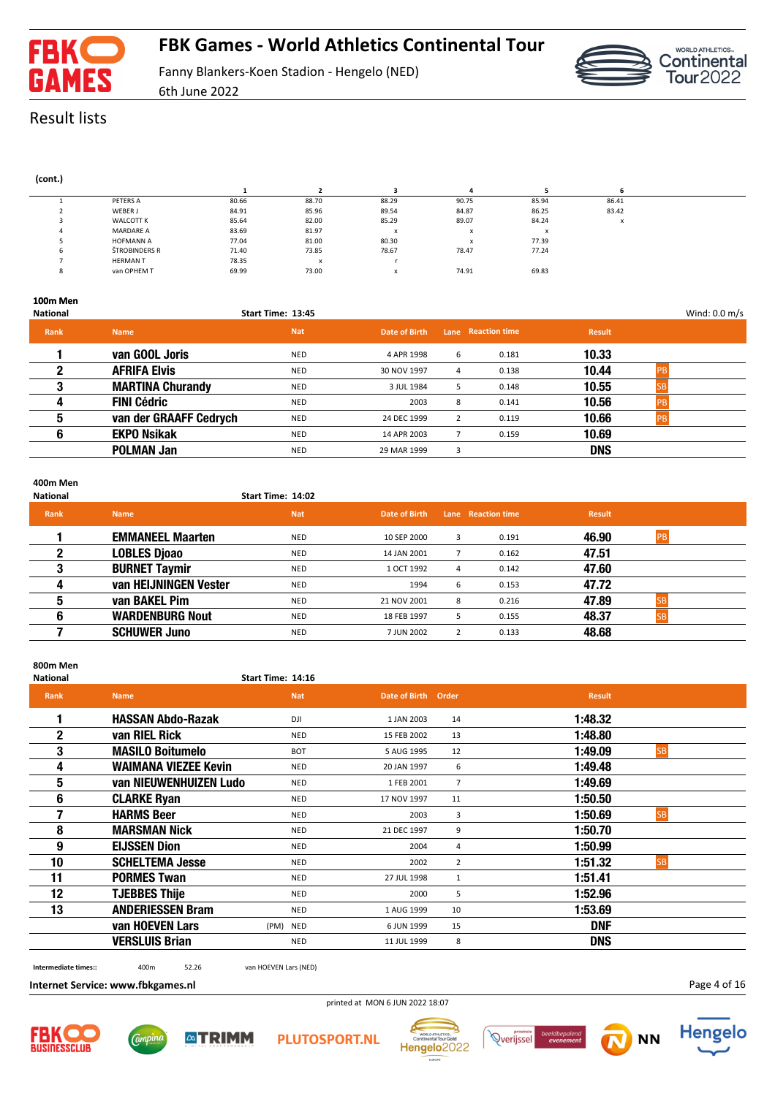

6th June 2022



Result lists

| (cont.) |                  |       |       |                           |                          |           |           |
|---------|------------------|-------|-------|---------------------------|--------------------------|-----------|-----------|
|         |                  |       |       |                           |                          |           |           |
|         | PETERS A         | 80.66 | 88.70 | 88.29                     | 90.75                    | 85.94     | 86.41     |
|         | WEBER J          | 84.91 | 85.96 | 89.54                     | 84.87                    | 86.25     | 83.42     |
|         | <b>WALCOTT K</b> | 85.64 | 82.00 | 85.29                     | 89.07                    | 84.24     | $\lambda$ |
|         | <b>MARDARE A</b> | 83.69 | 81.97 | X                         | $\check{}$<br>$\lambda$  | $\lambda$ |           |
|         | <b>HOFMANN A</b> | 77.04 | 81.00 | 80.30                     | $\overline{\phantom{a}}$ | 77.39     |           |
| b       | ŠTROBINDERS R    | 71.40 | 73.85 | 78.67                     | 78.47                    | 77.24     |           |
|         | <b>HERMAN T</b>  | 78.35 | x     |                           |                          |           |           |
| ō       | van OPHEM T      | 69.99 | 73.00 | $\boldsymbol{\mathsf{x}}$ | 74.91                    | 69.83     |           |
|         |                  |       |       |                           |                          |           |           |

### **100m Men**

| <b>National</b> |                         | Start Time: 13:45 |               |                |                    |               | Wind: 0.0 m/s |
|-----------------|-------------------------|-------------------|---------------|----------------|--------------------|---------------|---------------|
| <b>Rank</b>     | <b>Name</b>             | <b>Nat</b>        | Date of Birth |                | Lane Reaction time | <b>Result</b> |               |
|                 | van GOOL Joris          | NED               | 4 APR 1998    | 6              | 0.181              | 10.33         |               |
| 2               | <b>AFRIFA Elvis</b>     | <b>NED</b>        | 30 NOV 1997   | 4              | 0.138              | 10.44         |               |
| 3               | <b>MARTINA Churandy</b> | NED               | 3 JUL 1984    | 5              | 0.148              | 10.55         |               |
| 4               | <b>FINI Cédric</b>      | <b>NED</b>        | 2003          | 8              | 0.141              | 10.56         |               |
| 5               | van der GRAAFF Cedrych  | NED               | 24 DEC 1999   | $\overline{2}$ | 0.119              | 10.66         |               |
| 6               | <b>EKPO Nsikak</b>      | <b>NED</b>        | 14 APR 2003   |                | 0.159              | 10.69         |               |
|                 | <b>POLMAN Jan</b>       | <b>NED</b>        | 29 MAR 1999   | 3              |                    | <b>DNS</b>    |               |

### **400m Men**

| National    |                         | Start Time: 14:02 |               |   |                    |               |           |  |
|-------------|-------------------------|-------------------|---------------|---|--------------------|---------------|-----------|--|
| <b>Rank</b> | <b>Name</b>             | <b>Nat</b>        | Date of Birth |   | Lane Reaction time | <b>Result</b> |           |  |
|             | <b>EMMANEEL Maarten</b> | NED               | 10 SEP 2000   | 3 | 0.191              | 46.90         | <b>PB</b> |  |
| 2           | <b>LOBLES Djoao</b>     | <b>NED</b>        | 14 JAN 2001   |   | 0.162              | 47.51         |           |  |
| 3           | <b>BURNET Taymir</b>    | <b>NED</b>        | 1 OCT 1992    | 4 | 0.142              | 47.60         |           |  |
| 4           | van HEIJNINGEN Vester   | <b>NED</b>        | 1994          | 6 | 0.153              | 47.72         |           |  |
| 5           | van BAKEL Pim           | NED               | 21 NOV 2001   | 8 | 0.216              | 47.89         |           |  |
| 6           | <b>WARDENBURG Nout</b>  | <b>NED</b>        | 18 FEB 1997   | 5 | 0.155              | 48.37         |           |  |
|             | <b>SCHUWER Juno</b>     | <b>NED</b>        | 7 JUN 2002    |   | 0.133              | 48.68         |           |  |

### **800m Men**

#### **National Start Time: 14:16**

| <b>Rank</b>  | <b>Name</b>                 | <b>Nat</b> | Date of Birth | Order          | <b>Result</b>         |  |
|--------------|-----------------------------|------------|---------------|----------------|-----------------------|--|
|              | <b>HASSAN Abdo-Razak</b>    | DJI        | 1 JAN 2003    | 14             | 1:48.32               |  |
| $\mathbf{2}$ | van RIEL Rick               | <b>NED</b> | 15 FEB 2002   | 13             | 1:48.80               |  |
| 3            | <b>MASILO Boitumelo</b>     | <b>BOT</b> | 5 AUG 1995    | 12             | 1:49.09<br><b>SB</b>  |  |
| 4            | <b>WAIMANA VIEZEE Kevin</b> | <b>NED</b> | 20 JAN 1997   | 6              | 1:49.48               |  |
| 5            | van NIEUWENHUIZEN Ludo      | <b>NED</b> | 1 FEB 2001    | $\overline{7}$ | 1:49.69               |  |
| 6            | <b>CLARKE Ryan</b>          | <b>NED</b> | 17 NOV 1997   | 11             | 1:50.50               |  |
| 7            | <b>HARMS Beer</b>           | <b>NED</b> | 2003          | 3              | 1:50.69<br><b>SB</b>  |  |
| 8            | <b>MARSMAN Nick</b>         | <b>NED</b> | 21 DEC 1997   | 9              | 1:50.70               |  |
| 9            | <b>EIJSSEN Dion</b>         | <b>NED</b> | 2004          | 4              | 1:50.99               |  |
| 10           | <b>SCHELTEMA Jesse</b>      | <b>NED</b> | 2002          | $\overline{2}$ | 1:51.32<br><b>ISB</b> |  |
| 11           | <b>PORMES Twan</b>          | <b>NED</b> | 27 JUL 1998   | 1              | 1:51.41               |  |
| 12           | <b>TJEBBES Thije</b>        | <b>NED</b> | 2000          | 5              | 1:52.96               |  |
| 13           | <b>ANDERIESSEN Bram</b>     | <b>NED</b> | 1 AUG 1999    | 10             | 1:53.69               |  |
|              | van HOEVEN Lars             | (PM) NED   | 6 JUN 1999    | 15             | <b>DNF</b>            |  |
|              | <b>VERSLUIS Brian</b>       | <b>NED</b> | 11 JUL 1999   | 8              | <b>DNS</b>            |  |
|              |                             |            |               |                |                       |  |

**Intermediate times::** 400m 52.26 van HOEVEN Lars (NED)

**Internet Service: www.fbkgames.nl**

printed at MON 6 JUN 2022 18:07













Page 4 of 16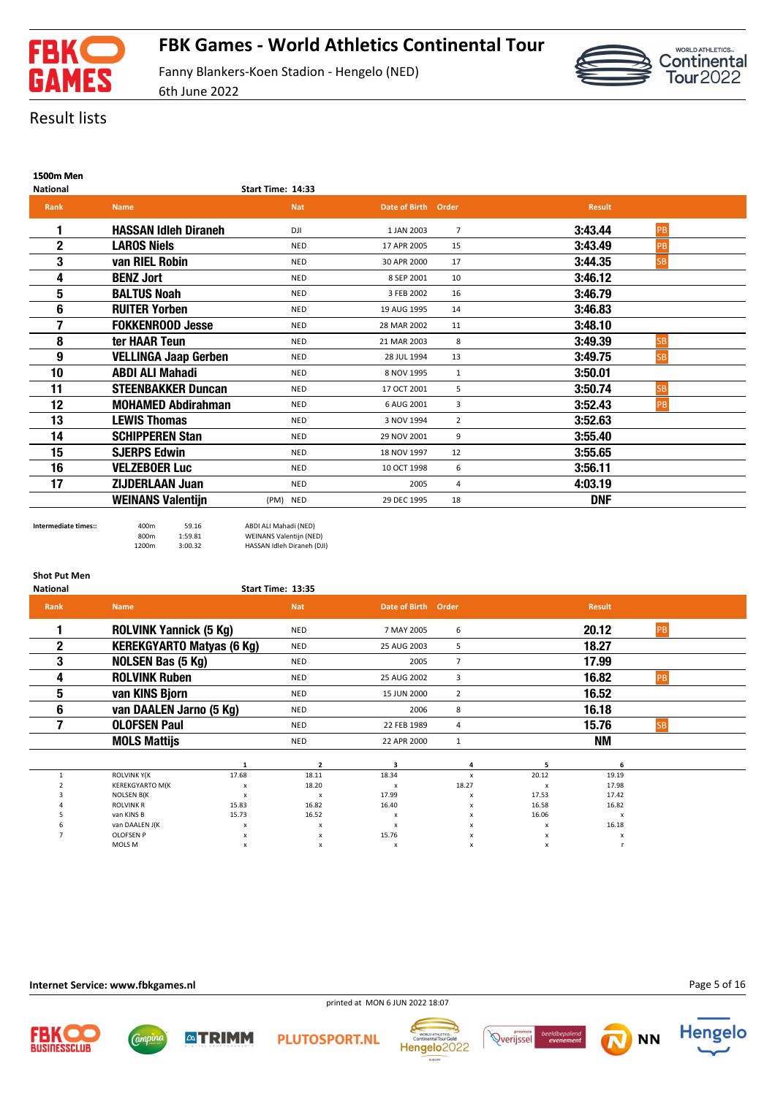



# Result lists

### **1500m Men**

| <b>National</b> | Start Time: 14:33 |
|-----------------|-------------------|
|                 |                   |

| <b>Rank</b> | Name,                       | <b>Nat</b> | Date of Birth | Order          | <b>Result</b> |           |  |
|-------------|-----------------------------|------------|---------------|----------------|---------------|-----------|--|
|             | <b>HASSAN Idleh Diraneh</b> | DJI        | 1 JAN 2003    | $\overline{7}$ | 3:43.44       | PB        |  |
| $\mathbf 2$ | <b>LAROS Niels</b>          | <b>NED</b> | 17 APR 2005   | 15             | 3:43.49       | PB        |  |
| 3           | van RIEL Robin              | <b>NED</b> | 30 APR 2000   | 17             | 3:44.35       | <b>SB</b> |  |
| 4           | <b>BENZ Jort</b>            | <b>NED</b> | 8 SEP 2001    | 10             | 3:46.12       |           |  |
| 5           | <b>BALTUS Noah</b>          | <b>NED</b> | 3 FEB 2002    | 16             | 3:46.79       |           |  |
| 6           | <b>RUITER Yorben</b>        | <b>NED</b> | 19 AUG 1995   | 14             | 3:46.83       |           |  |
| 7           | <b>FOKKENROOD Jesse</b>     | <b>NED</b> | 28 MAR 2002   | 11             | 3:48.10       |           |  |
| 8           | ter HAAR Teun               | <b>NED</b> | 21 MAR 2003   | 8              | 3:49.39       | <b>SB</b> |  |
| 9           | <b>VELLINGA Jaap Gerben</b> | <b>NED</b> | 28 JUL 1994   | 13             | 3:49.75       | <b>SB</b> |  |
| 10          | <b>ABDI ALI Mahadi</b>      | <b>NED</b> | 8 NOV 1995    | 1              | 3:50.01       |           |  |
| 11          | <b>STEENBAKKER Duncan</b>   | <b>NED</b> | 17 OCT 2001   | 5              | 3:50.74       | <b>SB</b> |  |
| 12          | <b>MOHAMED Abdirahman</b>   | <b>NED</b> | 6 AUG 2001    | 3              | 3:52.43       | <b>PB</b> |  |
| 13          | <b>LEWIS Thomas</b>         | <b>NED</b> | 3 NOV 1994    | $\overline{2}$ | 3:52.63       |           |  |
| 14          | <b>SCHIPPEREN Stan</b>      | <b>NED</b> | 29 NOV 2001   | 9              | 3:55.40       |           |  |
| 15          | <b>SJERPS Edwin</b>         | <b>NED</b> | 18 NOV 1997   | 12             | 3:55.65       |           |  |
| 16          | <b>VELZEBOER Luc</b>        | <b>NED</b> | 10 OCT 1998   | 6              | 3:56.11       |           |  |
| 17          | <b>ZIJDERLAAN Juan</b>      | <b>NED</b> | 2005          | 4              | 4:03.19       |           |  |
|             | <b>WEINANS Valentijn</b>    | (PM) NED   | 29 DEC 1995   | 18             | <b>DNF</b>    |           |  |

**Intermediate times::** 400m 59.16 ABDI ALI Mahadi (NED) 800m 1:59.81 WEINANS Valentijn (NED) 1200m 3:00.32 HASSAN Idleh Diraneh (DJI)

**ATRIMM** 

| <b>Shot Put Men</b><br><b>National</b> |                                  |                           | Start Time: 13:35 |                     |                |                           |               |           |
|----------------------------------------|----------------------------------|---------------------------|-------------------|---------------------|----------------|---------------------------|---------------|-----------|
| Rank                                   | <b>Name</b>                      |                           | <b>Nat</b>        | Date of Birth Order |                |                           | <b>Result</b> |           |
|                                        | <b>ROLVINK Yannick (5 Kg)</b>    |                           | <b>NED</b>        | 7 MAY 2005          | 6              |                           | 20.12         | PB        |
| $\mathbf{2}$                           | <b>KEREKGYARTO Matyas (6 Kg)</b> |                           | <b>NED</b>        | 25 AUG 2003         | 5              |                           | 18.27         |           |
| 3                                      | <b>NOLSEN Bas (5 Kg)</b>         |                           | <b>NED</b>        | 2005                | $\overline{7}$ |                           | 17.99         |           |
| 4                                      | <b>ROLVINK Ruben</b>             |                           | <b>NED</b>        | 25 AUG 2002         | 3              |                           | 16.82         | PB        |
| 5                                      | van KINS Bjorn                   |                           | <b>NED</b>        | 15 JUN 2000         | $\overline{2}$ |                           | 16.52         |           |
| 6                                      | van DAALEN Jarno (5 Kg)          |                           | <b>NED</b>        | 2006                | 8              |                           | 16.18         |           |
|                                        | <b>OLOFSEN Paul</b>              |                           | <b>NED</b>        | 22 FEB 1989         | 4              |                           | 15.76         | <b>SB</b> |
|                                        | <b>MOLS Mattijs</b>              |                           | <b>NED</b>        | 22 APR 2000         | $\mathbf{1}$   |                           | <b>NM</b>     |           |
|                                        |                                  | 1                         | $\overline{2}$    | з                   |                | 5                         | 6             |           |
|                                        | <b>ROLVINK Y(K</b>               | 17.68                     | 18.11             | 18.34               | $\mathsf{x}$   | 20.12                     | 19.19         |           |
|                                        | <b>KEREKGYARTO M(K</b>           | x                         | 18.20             | x                   | 18.27          | x                         | 17.98         |           |
|                                        | <b>NOLSEN B(K)</b>               | $\boldsymbol{\mathsf{x}}$ | X                 | 17.99               | x              | 17.53                     | 17.42         |           |
|                                        | <b>ROLVINK R</b>                 | 15.83                     | 16.82             | 16.40               | x              | 16.58                     | 16.82         |           |
|                                        | van KINS B                       | 15.73                     | 16.52             | x                   | x              | 16.06                     | X             |           |
|                                        | van DAALEN J(K                   | x                         | x                 | x                   | x              | $\boldsymbol{\mathsf{x}}$ | 16.18         |           |
|                                        | <b>OLOFSEN P</b>                 | x                         | x                 | 15.76               | x              | $\boldsymbol{\mathsf{x}}$ | X             |           |
|                                        | MOLS M                           | x                         | x                 | x                   | x              | x                         |               |           |

**Internet Service: www.fbkgames.nl**

*Campine* 



**PLUTOSPORT.NL** 







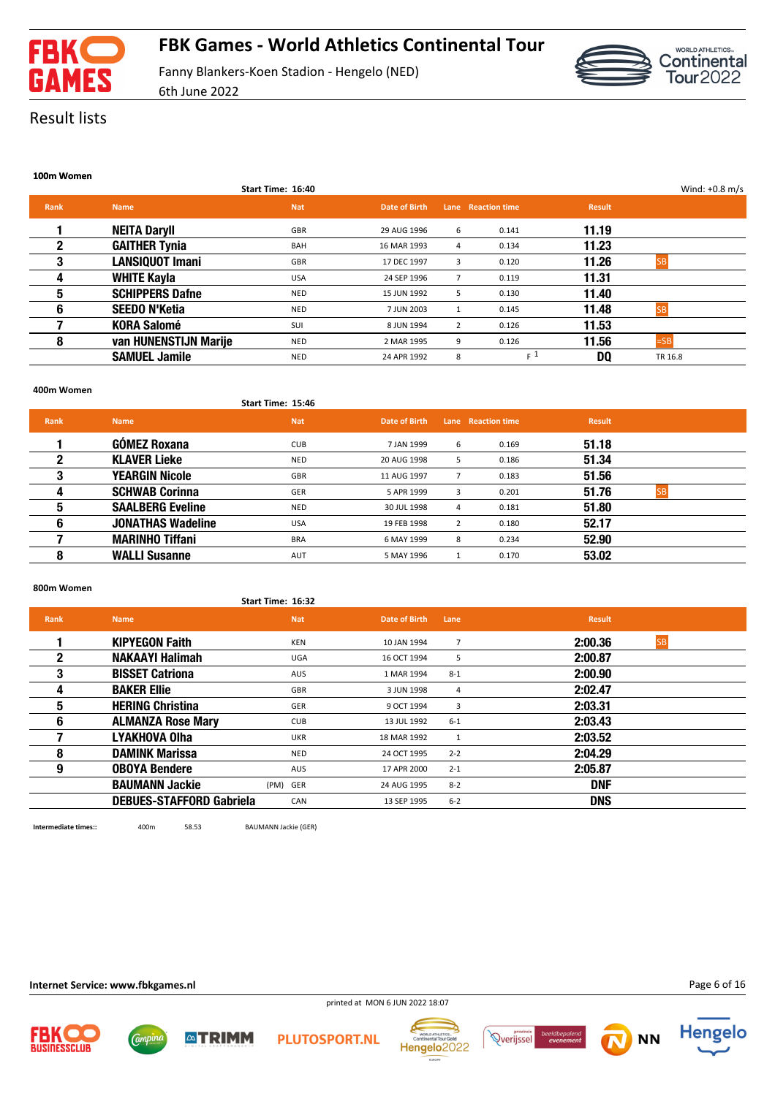



### Result lists

|      |                        | Start Time: 16:40 |               |                |                    |               | Wind: $+0.8$ m/s |
|------|------------------------|-------------------|---------------|----------------|--------------------|---------------|------------------|
| Rank | <b>Name</b>            | <b>Nat</b>        | Date of Birth |                | Lane Reaction time | <b>Result</b> |                  |
|      | <b>NEITA Daryll</b>    | GBR               | 29 AUG 1996   | 6              | 0.141              | 11.19         |                  |
| 2    | <b>GAITHER Tynia</b>   | <b>BAH</b>        | 16 MAR 1993   | 4              | 0.134              | 11.23         |                  |
| 3    | <b>LANSIQUOT Imani</b> | <b>GBR</b>        | 17 DEC 1997   | 3              | 0.120              | 11.26         | <b>ISB</b>       |
| 4    | <b>WHITE Kayla</b>     | <b>USA</b>        | 24 SEP 1996   | $\overline{7}$ | 0.119              | 11.31         |                  |
| 5    | <b>SCHIPPERS Dafne</b> | <b>NED</b>        | 15 JUN 1992   | 5              | 0.130              | 11.40         |                  |
| 6    | <b>SEEDO N'Ketia</b>   | <b>NED</b>        | 7 JUN 2003    | 1              | 0.145              | 11.48         | ISB              |
|      | <b>KORA Salomé</b>     | <b>SUI</b>        | 8 JUN 1994    | 2              | 0.126              | 11.53         |                  |
| 8    | van HUNENSTIJN Marije  | <b>NED</b>        | 2 MAR 1995    | 9              | 0.126              | 11.56         | $=$ SB           |
|      | <b>SAMUEL Jamile</b>   | NED               | 24 APR 1992   | 8              | $F^1$              | DQ            | TR 16.8          |

#### **400m Women**

**Start Time: 15:46**

| <b>Rank</b> | <b>Name</b>              | <b>Nat</b> | Date of Birth |                | Lane Reaction time | <b>Result</b> |     |
|-------------|--------------------------|------------|---------------|----------------|--------------------|---------------|-----|
|             | <b>GÓMEZ Roxana</b>      | <b>CUB</b> | 7 JAN 1999    | 6              | 0.169              | 51.18         |     |
|             | <b>KLAVER Lieke</b>      | <b>NED</b> | 20 AUG 1998   | 5              | 0.186              | 51.34         |     |
| 3           | <b>YEARGIN Nicole</b>    | GBR        | 11 AUG 1997   |                | 0.183              | 51.56         |     |
| 4           | <b>SCHWAB Corinna</b>    | GER        | 5 APR 1999    | 3              | 0.201              | 51.76         | ISB |
| 5           | <b>SAALBERG Eveline</b>  | <b>NED</b> | 30 JUL 1998   | 4              | 0.181              | 51.80         |     |
| 6           | <b>JONATHAS Wadeline</b> | <b>USA</b> | 19 FEB 1998   | $\overline{2}$ | 0.180              | 52.17         |     |
|             | <b>MARINHO Tiffani</b>   | <b>BRA</b> | 6 MAY 1999    | 8              | 0.234              | 52.90         |     |
| 8           | <b>WALLI Susanne</b>     | AUT        | 5 MAY 1996    |                | 0.170              | 53.02         |     |

#### **800m Women**

|              |                                 | Start Time: 16:32 |               |         |                      |
|--------------|---------------------------------|-------------------|---------------|---------|----------------------|
| <b>Rank</b>  | <b>Name</b>                     | <b>Nat</b>        | Date of Birth | Lane    | <b>Result</b>        |
|              | <b>KIPYEGON Faith</b>           | KEN               | 10 JAN 1994   | 7       | 2:00.36<br><b>SB</b> |
| $\mathbf{2}$ | <b>NAKAAYI Halimah</b>          | UGA               | 16 OCT 1994   | 5       | 2:00.87              |
| 3            | <b>BISSET Catriona</b>          | AUS               | 1 MAR 1994    | $8 - 1$ | 2:00.90              |
| 4            | <b>BAKER Ellie</b>              | GBR               | 3 JUN 1998    | 4       | 2:02.47              |
| 5            | <b>HERING Christina</b>         | GER               | 9 OCT 1994    | 3       | 2:03.31              |
| 6            | <b>ALMANZA Rose Mary</b>        | <b>CUB</b>        | 13 JUL 1992   | $6 - 1$ | 2:03.43              |
|              | <b>LYAKHOVA Olha</b>            | <b>UKR</b>        | 18 MAR 1992   | 1       | 2:03.52              |
| 8            | <b>DAMINK Marissa</b>           | <b>NED</b>        | 24 OCT 1995   | $2 - 2$ | 2:04.29              |
| 9            | <b>OBOYA Bendere</b>            | AUS               | 17 APR 2000   | $2 - 1$ | 2:05.87              |
|              | <b>BAUMANN Jackie</b>           | (PM) GER          | 24 AUG 1995   | $8 - 2$ | <b>DNF</b>           |
|              | <b>DEBUES-STAFFORD Gabriela</b> | CAN               | 13 SEP 1995   | $6 - 2$ | <b>DNS</b>           |
|              |                                 |                   |               |         |                      |

**Intermediate times::** 400m 58.53 BAUMANN Jackie (GER)

**△TRIMM** 



**Internet Service: www.fbkgames.nl**









Page 6 of 16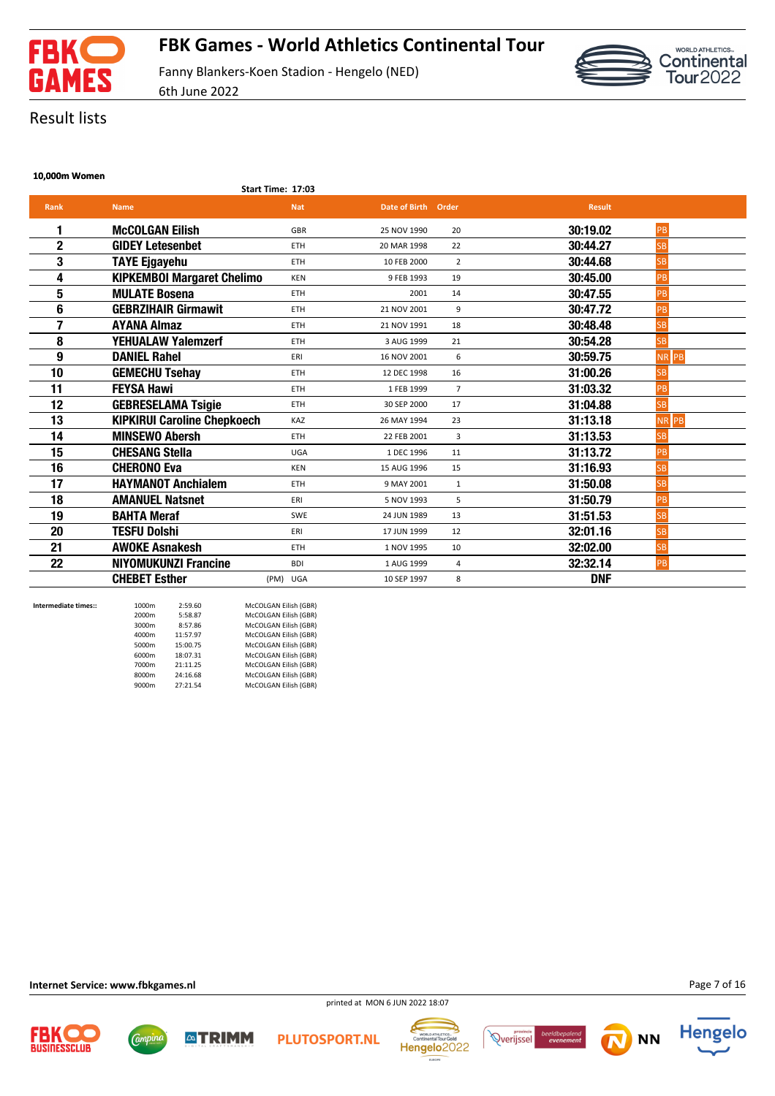



Result lists

#### **10,000m Women**

|  | <b>Start Time: 17:03</b> |
|--|--------------------------|

| <b>Rank</b>  | <b>Name</b>                        | <b>Nat</b> | Date of Birth Order |                | <b>Result</b> |             |
|--------------|------------------------------------|------------|---------------------|----------------|---------------|-------------|
| 1            | <b>McCOLGAN Eilish</b>             | <b>GBR</b> | 25 NOV 1990         | 20             | 30:19.02      | PB          |
| $\mathbf{2}$ | <b>GIDEY Letesenbet</b>            | <b>ETH</b> | 20 MAR 1998         | 22             | 30:44.27      | <b>SB</b>   |
| 3            | <b>TAYE Ejgayehu</b>               | <b>ETH</b> | 10 FEB 2000         | $\overline{2}$ | 30:44.68      | <b>SB</b>   |
| 4            | <b>KIPKEMBOI Margaret Chelimo</b>  | <b>KEN</b> | 9 FEB 1993          | 19             | 30:45.00      | PB          |
| 5            | <b>MULATE Bosena</b>               | <b>ETH</b> | 2001                | 14             | 30:47.55      | PB          |
| 6            | <b>GEBRZIHAIR Girmawit</b>         | <b>ETH</b> | 21 NOV 2001         | 9              | 30:47.72      | PB          |
| 7            | <b>AYANA Almaz</b>                 | <b>ETH</b> | 21 NOV 1991         | 18             | 30:48.48      | <b>SB</b>   |
| 8            | <b>YEHUALAW Yalemzerf</b>          | <b>ETH</b> | 3 AUG 1999          | 21             | 30:54.28      | <b>SB</b>   |
| 9            | <b>DANIEL Rahel</b>                | ERI        | 16 NOV 2001         | 6              | 30:59.75      | <b>NRPB</b> |
| 10           | <b>GEMECHU Tsehay</b>              | <b>ETH</b> | 12 DEC 1998         | 16             | 31:00.26      | <b>SB</b>   |
| 11           | <b>FEYSA Hawi</b>                  | <b>ETH</b> | 1 FEB 1999          | $\overline{7}$ | 31:03.32      | PB          |
| 12           | <b>GEBRESELAMA Tsigie</b>          | <b>ETH</b> | 30 SEP 2000         | 17             | 31:04.88      | <b>SB</b>   |
| 13           | <b>KIPKIRUI Caroline Chepkoech</b> | KAZ        | 26 MAY 1994         | 23             | 31:13.18      | NR PB       |
| 14           | <b>MINSEWO Abersh</b>              | <b>ETH</b> | 22 FEB 2001         | 3              | 31:13.53      | <b>SB</b>   |
| 15           | <b>CHESANG Stella</b>              | UGA        | 1 DEC 1996          | 11             | 31:13.72      | PB          |
| 16           | <b>CHERONO Eva</b>                 | <b>KEN</b> | 15 AUG 1996         | 15             | 31:16.93      | <b>SB</b>   |
| 17           | <b>HAYMANOT Anchialem</b>          | <b>ETH</b> | 9 MAY 2001          | $\mathbf{1}$   | 31:50.08      | SB          |
| 18           | <b>AMANUEL Natsnet</b>             | ERI        | 5 NOV 1993          | 5              | 31:50.79      | PB          |
| 19           | <b>BAHTA Meraf</b>                 | SWE        | 24 JUN 1989         | 13             | 31:51.53      | <b>SB</b>   |
| 20           | <b>TESFU Dolshi</b>                | ERI        | 17 JUN 1999         | 12             | 32:01.16      | <b>SB</b>   |
| 21           | <b>AWOKE Asnakesh</b>              | <b>ETH</b> | 1 NOV 1995          | 10             | 32:02.00      | <b>SB</b>   |
| 22           | <b>NIYOMUKUNZI Francine</b>        | <b>BDI</b> | 1 AUG 1999          | 4              | 32:32.14      | PB          |
|              | <b>CHEBET Esther</b>               | (PM) UGA   | 10 SEP 1997         | 8              | <b>DNF</b>    |             |

| Intermediate times:: | 1000m | 2:59.60  | McCOLGAN Eilish (GBR) |
|----------------------|-------|----------|-----------------------|
|                      | 2000m | 5:58.87  | McCOLGAN Eilish (GBR) |
|                      | 3000m | 8:57.86  | McCOLGAN Eilish (GBR) |
|                      | 4000m | 11:57.97 | McCOLGAN Eilish (GBR) |
|                      | 5000m | 15:00.75 | McCOLGAN Eilish (GBR) |
|                      | 6000m | 18:07.31 | McCOLGAN Eilish (GBR) |
|                      | 7000m | 21:11.25 | McCOLGAN Eilish (GBR) |
|                      | 8000m | 24:16.68 | McCOLGAN Eilish (GBR) |
|                      | 9000m | 27:21.54 | McCOLGAN Eilish (GBR) |
|                      |       |          |                       |

**Internet Service: www.fbkgames.nl**

*Campine* 

**ATRIMM** 

printed at MON 6 JUN 2022 18:07







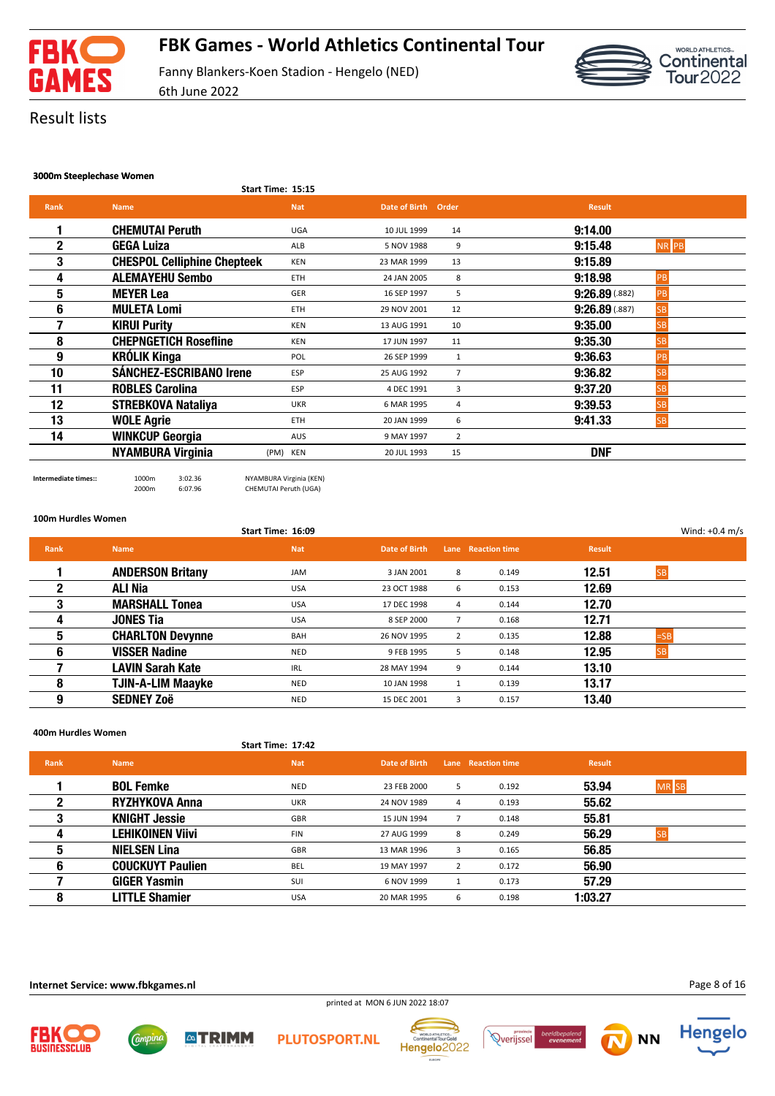

WORLD ATHLETICS... Continental<br>Tour2022

Fanny Blankers-Koen Stadion - Hengelo (NED) 6th June 2022

### Result lists

#### **3000m Steeplechase Women**

| Start Time: 15:15 |  |
|-------------------|--|

| <b>Rank</b> | <b>Name</b>                        | <b>Nat</b> | Date of Birth Order |                | <b>Result</b>                 |
|-------------|------------------------------------|------------|---------------------|----------------|-------------------------------|
|             | <b>CHEMUTAI Peruth</b>             | <b>UGA</b> | 10 JUL 1999         | 14             | 9:14.00                       |
| $\mathbf 2$ | <b>GEGA Luiza</b>                  | ALB        | 5 NOV 1988          | 9              | 9:15.48<br>NR PB              |
| 3           | <b>CHESPOL Celliphine Chepteek</b> | <b>KEN</b> | 23 MAR 1999         | 13             | 9:15.89                       |
| 4           | <b>ALEMAYEHU Sembo</b>             | <b>ETH</b> | 24 JAN 2005         | 8              | 9:18.98<br>PB                 |
| 5           | <b>MEYER Lea</b>                   | GER        | 16 SEP 1997         | 5              | 9:26.89(.882)<br>PB           |
| 6           | <b>MULETA Lomi</b>                 | <b>ETH</b> | 29 NOV 2001         | 12             | $9:26.89$ (.887)<br><b>SB</b> |
|             | <b>KIRUI Purity</b>                | <b>KEN</b> | 13 AUG 1991         | 10             | 9:35.00                       |
| 8           | <b>CHEPNGETICH Rosefline</b>       | <b>KEN</b> | 17 JUN 1997         | 11             | 9:35.30<br><b>SB</b>          |
| 9           | <b>KRÓLIK Kinga</b>                | POL        | 26 SEP 1999         | 1              | 9:36.63<br>PB                 |
| 10          | <b>SÁNCHEZ-ESCRIBANO Irene</b>     | <b>ESP</b> | 25 AUG 1992         | $\overline{7}$ | 9:36.82<br>SB                 |
| 11          | <b>ROBLES Carolina</b>             | <b>ESP</b> | 4 DEC 1991          | 3              | 9:37.20<br>۲R                 |
| 12          | <b>STREBKOVA Nataliya</b>          | <b>UKR</b> | 6 MAR 1995          | 4              | 9:39.53<br>SB                 |
| 13          | <b>WOLE Agrie</b>                  | <b>ETH</b> | 20 JAN 1999         | 6              | 9:41.33<br><b>SB</b>          |
| 14          | <b>WINKCUP Georgia</b>             | <b>AUS</b> | 9 MAY 1997          | $\overline{2}$ |                               |
|             | <b>NYAMBURA Virginia</b>           | (PM) KEN   | 20 JUL 1993         | 15             | <b>DNF</b>                    |
|             |                                    |            |                     |                |                               |

**Intermediate times::** 1000m 3:02.36 NYAMBURA Virginia (KEN) CHEMUTAI Peruth (UGA)

**100m Hurdles Women**

|             |                          | Start Time: 16:09 |               |                |                    |               |           | Wind: $+0.4$ m/s |
|-------------|--------------------------|-------------------|---------------|----------------|--------------------|---------------|-----------|------------------|
| <b>Rank</b> | <b>Name</b>              | <b>Nat</b>        | Date of Birth |                | Lane Reaction time | <b>Result</b> |           |                  |
|             | <b>ANDERSON Britany</b>  | JAM               | 3 JAN 2001    | 8              | 0.149              | 12.51         | <b>SB</b> |                  |
| 2           | ALI Nia                  | <b>USA</b>        | 23 OCT 1988   | 6              | 0.153              | 12.69         |           |                  |
| 3           | <b>MARSHALL Tonea</b>    | <b>USA</b>        | 17 DEC 1998   | 4              | 0.144              | 12.70         |           |                  |
| 4           | <b>JONES Tia</b>         | <b>USA</b>        | 8 SEP 2000    | $\overline{7}$ | 0.168              | 12.71         |           |                  |
| 5           | <b>CHARLTON Devynne</b>  | BAH               | 26 NOV 1995   | 2              | 0.135              | 12.88         | $=$ SB    |                  |
| 6           | <b>VISSER Nadine</b>     | NED               | 9 FEB 1995    | 5              | 0.148              | 12.95         | <b>SB</b> |                  |
|             | <b>LAVIN Sarah Kate</b>  | <b>IRL</b>        | 28 MAY 1994   | 9              | 0.144              | 13.10         |           |                  |
| 8           | <b>TJIN-A-LIM Maayke</b> | <b>NED</b>        | 10 JAN 1998   |                | 0.139              | 13.17         |           |                  |
| 9           | <b>SEDNEY Zoë</b>        | <b>NED</b>        | 15 DEC 2001   | 3              | 0.157              | 13.40         |           |                  |

**400m Hurdles Women**

#### **Start Time: 17:42**

**ATRIMM** 

| Rank | <b>Name</b>             | <b>Nat</b> | Date of Birth |   | Lane Reaction time | <b>Result</b> |                  |
|------|-------------------------|------------|---------------|---|--------------------|---------------|------------------|
|      | <b>BOL Femke</b>        | <b>NED</b> | 23 FEB 2000   | 5 | 0.192              | 53.94         | MR <sub>SB</sub> |
| 2    | <b>RYZHYKOVA Anna</b>   | <b>UKR</b> | 24 NOV 1989   | 4 | 0.193              | 55.62         |                  |
| 3    | <b>KNIGHT Jessie</b>    | GBR        | 15 JUN 1994   |   | 0.148              | 55.81         |                  |
| д    | <b>LEHIKOINEN Viivi</b> | <b>FIN</b> | 27 AUG 1999   | 8 | 0.249              | 56.29         |                  |
| 5    | <b>NIELSEN Lina</b>     | GBR        | 13 MAR 1996   | 3 | 0.165              | 56.85         |                  |
| 6    | <b>COUCKUYT Paulien</b> | <b>BEL</b> | 19 MAY 1997   | 2 | 0.172              | 56.90         |                  |
|      | <b>GIGER Yasmin</b>     | SUI        | 6 NOV 1999    |   | 0.173              | 57.29         |                  |
| 8    | <b>LITTLE Shamier</b>   | <b>USA</b> | 20 MAR 1995   | 6 | 0.198              | 1:03.27       |                  |

printed at MON 6 JUN 2022 18:07

**Internet Service: www.fbkgames.nl**

Comput







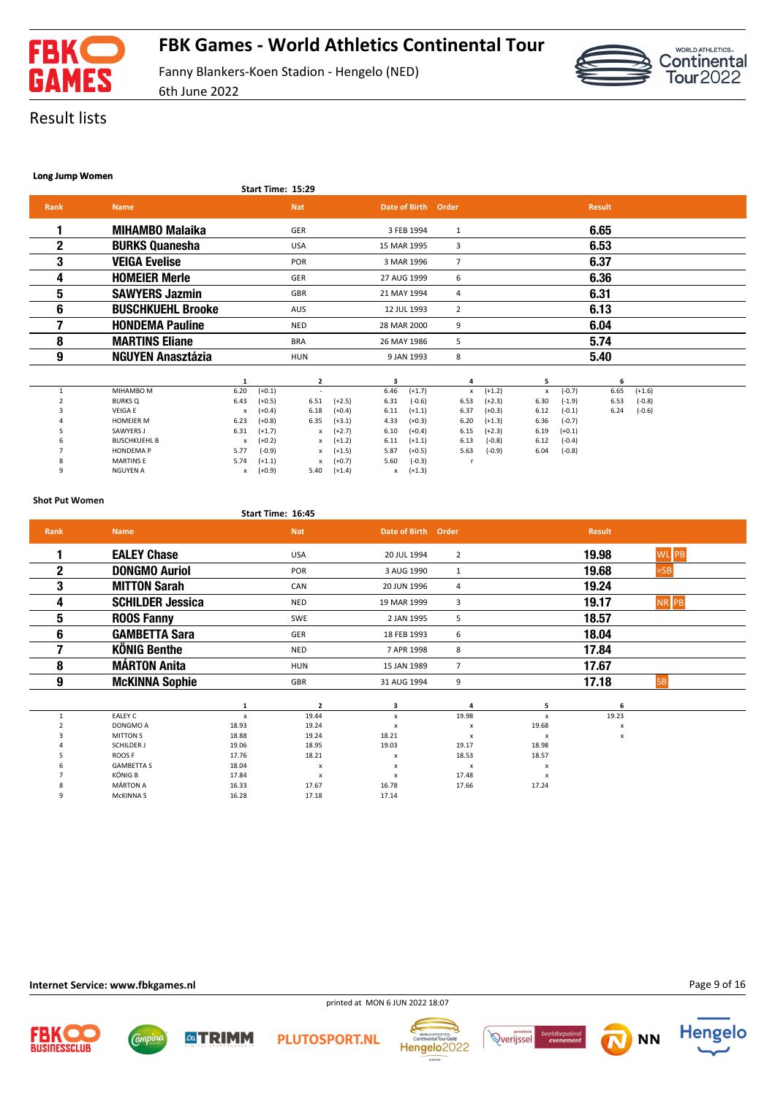



Result lists

#### **Long Jump Women**

**Start Time: 15:29**

6th June 2022

| Rank | <b>Name</b>              | <b>Nat</b> | Date of Birth Order |   | <b>Result</b> |  |
|------|--------------------------|------------|---------------------|---|---------------|--|
|      | <b>MIHAMBO Malaika</b>   | GER        | 3 FEB 1994          | 1 | 6.65          |  |
| 2    | <b>BURKS Quanesha</b>    | <b>USA</b> | 15 MAR 1995         | 3 | 6.53          |  |
| 3    | <b>VEIGA Evelise</b>     | POR        | 3 MAR 1996          |   | 6.37          |  |
| 4    | <b>HOMEIER Merle</b>     | <b>GER</b> | 27 AUG 1999         | 6 | 6.36          |  |
| 5    | <b>SAWYERS Jazmin</b>    | <b>GBR</b> | 21 MAY 1994         | 4 | 6.31          |  |
| 6    | <b>BUSCHKUEHL Brooke</b> | <b>AUS</b> | 12 JUL 1993         | 2 | 6.13          |  |
|      | <b>HONDEMA Pauline</b>   | <b>NED</b> | 28 MAR 2000         | 9 | 6.04          |  |
| 8    | <b>MARTINS Eliane</b>    | <b>BRA</b> | 26 MAY 1986         | 5 | 5.74          |  |
| 9    | <b>NGUYEN Anasztázia</b> | <b>HUN</b> | 9 JAN 1993          | 8 | 5.40          |  |
|      |                          |            | 3                   |   | 6.            |  |

|              |                     |      |          |      |          |                 |          |                 |          |      |          | . .  |          |
|--------------|---------------------|------|----------|------|----------|-----------------|----------|-----------------|----------|------|----------|------|----------|
|              | MIHAMBO M           | 6.20 | $(+0.1)$ |      |          | $6.46$ $(+1.7)$ |          | $\mathsf{x}$    | $(+1.2)$ | x    | $(-0.7)$ | 6.65 | $(+1.6)$ |
|              | <b>BURKS Q</b>      | 6.43 | $(+0.5)$ | 6.51 | $(+2.5)$ | 6.31            | $(-0.6)$ | 6.53            | $(+2.3)$ | 6.30 | $(-1.9)$ | 6.53 | $(-0.8)$ |
|              | <b>VEIGA E</b>      | x    | $(+0.4)$ | 6.18 | $(+0.4)$ | 6.11            | $(+1.1)$ | 6.37            | $(+0.3)$ | 6.12 | $(-0.1)$ | 6.24 | $(-0.6)$ |
|              | <b>HOMEIER M</b>    | 6.23 | $(+0.8)$ | 6.35 | $(+3.1)$ | 4.33            | $(+0.3)$ | 6.20            | $(+1.3)$ | 6.36 | $(-0.7)$ |      |          |
|              | SAWYERS J           | 6.31 | $(+1.7)$ | x    | $(+2.7)$ | $6.10 (+0.4)$   |          | $6.15$ $(+2.3)$ |          | 6.19 | $(+0.1)$ |      |          |
|              | <b>BUSCHKUEHL B</b> | x    | $(+0.2)$ | x    | $(+1.2)$ | $6.11$ $(+1.1)$ |          | 6.13            | $(-0.8)$ | 6.12 | $(-0.4)$ |      |          |
|              | <b>HONDEMAP</b>     | 5.77 | $(-0.9)$ | x    | $(+1.5)$ | 5.87            | $(+0.5)$ | 5.63            | $(-0.9)$ | 6.04 | $(-0.8)$ |      |          |
| ۰            | <b>MARTINS E</b>    | 5.74 | $(+1.1)$ | x    | $(+0.7)$ | 5.60            | $(-0.3)$ |                 |          |      |          |      |          |
| <sup>o</sup> | <b>NGUYEN A</b>     | x    | $(+0.9)$ | 5.40 | $(+1.4)$ | x               | $(+1.3)$ |                 |          |      |          |      |          |
|              |                     |      |          |      |          |                 |          |                 |          |      |          |      |          |

**Shot Put Women**

#### **Start Time: 16:45**

| <b>Rank</b>  | <b>Name</b>             |       | <b>Nat</b>     | Date of Birth Order       |                           |                           | <b>Result</b> |           |
|--------------|-------------------------|-------|----------------|---------------------------|---------------------------|---------------------------|---------------|-----------|
| 1            | <b>EALEY Chase</b>      |       | <b>USA</b>     | 20 JUL 1994               | $\overline{2}$            |                           | 19.98         | WL PB     |
| $\mathbf{2}$ | <b>DONGMO Auriol</b>    |       | <b>POR</b>     | 3 AUG 1990                | $\mathbf{1}$              |                           | 19.68         | $=$ SB    |
| 3            | <b>MITTON Sarah</b>     |       | CAN            | 20 JUN 1996               | 4                         |                           | 19.24         |           |
| 4            | <b>SCHILDER Jessica</b> |       | <b>NED</b>     | 19 MAR 1999               | 3                         |                           | 19.17         | NR PB     |
| 5            | <b>ROOS Fanny</b>       |       | SWE            | 2 JAN 1995                | 5                         |                           | 18.57         |           |
| 6            | <b>GAMBETTA Sara</b>    |       | GER            | 18 FEB 1993               | 6                         |                           | 18.04         |           |
| 7            | <b>KÖNIG Benthe</b>     |       | <b>NED</b>     | 7 APR 1998                | 8                         |                           | 17.84         |           |
| 8            | <b>MÁRTON Anita</b>     |       | <b>HUN</b>     | 15 JAN 1989               | $\overline{7}$            |                           | 17.67         |           |
| 9            | <b>McKINNA Sophie</b>   |       | GBR            | 31 AUG 1994               | 9                         |                           | 17.18         | <b>SB</b> |
|              |                         | 1     | 2              | з                         | Δ                         | 5                         | 6             |           |
|              | <b>EALEY C</b>          | x     | 19.44          | x                         | 19.98                     | $\boldsymbol{x}$          | 19.23         |           |
|              | DONGMO A                | 18.93 | 19.24          | $\boldsymbol{\mathsf{x}}$ | $\boldsymbol{\mathsf{x}}$ | 19.68                     | x             |           |
|              | <b>MITTON S</b>         | 18.88 | 19.24          | 18.21                     | $\boldsymbol{\mathsf{x}}$ | $\boldsymbol{\mathsf{x}}$ | x             |           |
|              | SCHILDER J              | 19.06 | 18.95          | 19.03                     | 19.17                     | 18.98                     |               |           |
|              | ROOS F                  | 17.76 | 18.21          | x                         | 18.53                     | 18.57                     |               |           |
|              | <b>GAMBETTA S</b>       | 18.04 | x              | x                         | x                         | $\boldsymbol{\mathsf{x}}$ |               |           |
|              | <b>KÖNIG B</b>          | 17.84 | $\pmb{\times}$ | x                         | 17.48                     | $\boldsymbol{\mathsf{x}}$ |               |           |
|              | <b>MÁRTON A</b>         | 16.33 | 17.67          | 16.78                     | 17.66                     | 17.24                     |               |           |
| 9            | McKINNA S               | 16.28 | 17.18          | 17.14                     |                           |                           |               |           |

**Internet Service: www.fbkgames.nl**

Campin

**ATRIMM** 

Page 9 of 16

**Hengelo** 

**NN** 



Hengelo<sup>2022</sup>

**PLUTOSPORT.NL** 

*<u>Provincie</u>* 

beela<br>ev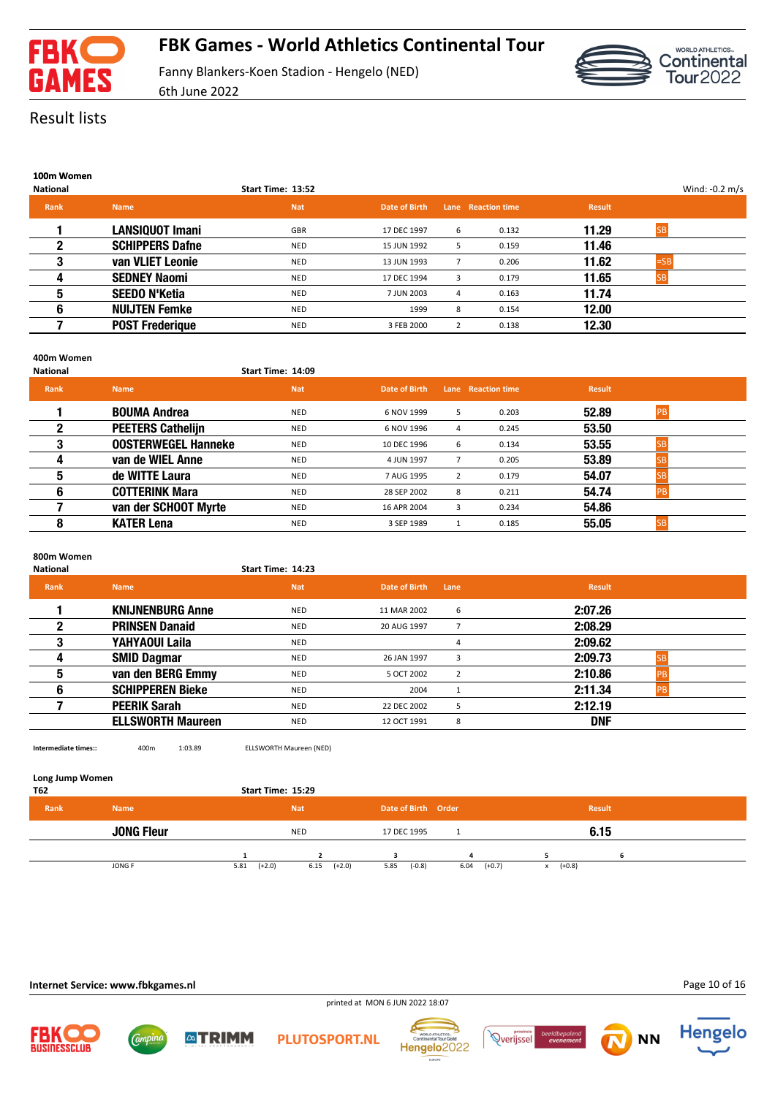

# **FBK Games - World Athletics Continental Tour**

Fanny Blankers-Koen Stadion - Hengelo (NED) 6th June 2022



### Result lists

| 100m Women |
|------------|
|            |

|                        | Start Time: 13:52 |               |   |       |                    |        |                  |
|------------------------|-------------------|---------------|---|-------|--------------------|--------|------------------|
| <b>Name</b>            | <b>Nat</b>        | Date of Birth |   |       | <b>Result</b>      |        |                  |
| <b>LANSIQUOT Imani</b> | <b>GBR</b>        | 17 DEC 1997   | 6 | 0.132 | 11.29              |        |                  |
| <b>SCHIPPERS Dafne</b> | <b>NED</b>        | 15 JUN 1992   | 5 | 0.159 | 11.46              |        |                  |
| van VLIET Leonie       | NED               | 13 JUN 1993   |   | 0.206 | 11.62              | $=$ SB |                  |
| <b>SEDNEY Naomi</b>    | <b>NED</b>        | 17 DEC 1994   | 3 | 0.179 | 11.65              |        |                  |
| <b>SEEDO N'Ketia</b>   | <b>NED</b>        | 7 JUN 2003    | 4 | 0.163 | 11.74              |        |                  |
| <b>NUIJTEN Femke</b>   | <b>NED</b>        | 1999          | 8 | 0.154 | 12.00              |        |                  |
| <b>POST Frederique</b> | <b>NED</b>        | 3 FEB 2000    | 2 | 0.138 | 12.30              |        |                  |
|                        |                   |               |   |       | Lane Reaction time |        | Wind: $-0.2$ m/s |

#### **400m Women**

| <b>National</b> |                            | Start Time: 14:09 |               |   |                    |               |           |  |
|-----------------|----------------------------|-------------------|---------------|---|--------------------|---------------|-----------|--|
| Rank            | <b>Name</b>                | <b>Nat</b>        | Date of Birth |   | Lane Reaction time | <b>Result</b> |           |  |
|                 | <b>BOUMA Andrea</b>        | NED               | 6 NOV 1999    | 5 | 0.203              | 52.89         | <b>PB</b> |  |
|                 | <b>PEETERS Cathelijn</b>   | <b>NED</b>        | 6 NOV 1996    | 4 | 0.245              | 53.50         |           |  |
| 3               | <b>OOSTERWEGEL Hanneke</b> | <b>NED</b>        | 10 DEC 1996   | 6 | 0.134              | 53.55         |           |  |
| 4               | van de WIEL Anne           | <b>NED</b>        | 4 JUN 1997    |   | 0.205              | 53.89         |           |  |
| 5               | de WITTE Laura             | <b>NED</b>        | 7 AUG 1995    | 2 | 0.179              | 54.07         |           |  |
| 6               | <b>COTTERINK Mara</b>      | <b>NED</b>        | 28 SEP 2002   | 8 | 0.211              | 54.74         |           |  |
|                 | van der SCHOOT Myrte       | <b>NED</b>        | 16 APR 2004   | 3 | 0.234              | 54.86         |           |  |
| 8               | <b>KATER Lena</b>          | <b>NED</b>        | 3 SEP 1989    |   | 0.185              | 55.05         |           |  |

### **800m Women**

| <b>National</b> |                          | Start Time: 14:23 |               |      |               |  |
|-----------------|--------------------------|-------------------|---------------|------|---------------|--|
| <b>Rank</b>     | <b>Name</b>              | <b>Nat</b>        | Date of Birth | Lane | <b>Result</b> |  |
|                 | <b>KNIJNENBURG Anne</b>  | <b>NED</b>        | 11 MAR 2002   | 6    | 2:07.26       |  |
| $\mathbf 2$     | <b>PRINSEN Danaid</b>    | <b>NED</b>        | 20 AUG 1997   |      | 2:08.29       |  |
| 3               | YAHYAOUI Laila           | <b>NED</b>        |               |      | 2:09.62       |  |
| 4               | <b>SMID Dagmar</b>       | <b>NED</b>        | 26 JAN 1997   |      | 2:09.73       |  |
| 5               | van den BERG Emmy        | NED               | 5 OCT 2002    |      | 2:10.86<br>DE |  |
| 6               | <b>SCHIPPEREN Bieke</b>  | <b>NED</b>        | 2004          |      | 2:11.34       |  |
|                 | <b>PEERIK Sarah</b>      | <b>NED</b>        | 22 DEC 2002   | ь    | 2:12.19       |  |
|                 | <b>ELLSWORTH Maureen</b> | <b>NED</b>        | 12 OCT 1991   | 8    | <b>DNF</b>    |  |
|                 |                          |                   |               |      |               |  |

**Intermediate times::** 400m 1:03.89 ELLSWORTH Maureen (NED)

#### **Long Jump Women**

| T62  |                   | Start Time: 15:29 |                  |                     |                  |                          |  |
|------|-------------------|-------------------|------------------|---------------------|------------------|--------------------------|--|
| Rank | <b>Name</b>       |                   | <b>Nat</b>       | Date of Birth Order |                  | <b>Result</b>            |  |
|      | <b>JONG Fleur</b> |                   | <b>NED</b>       | 17 DEC 1995         |                  | 6.15                     |  |
|      |                   |                   |                  |                     | $\mathbf{A}$     |                          |  |
|      | JONG F            | $(+2.0)$<br>5.81  | 6.15<br>$(+2.0)$ | $(-0.8)$<br>5.85    | 6.04<br>$(+0.7)$ | $(+0.8)$<br>$\mathsf{x}$ |  |

printed at MON 6 JUN 2022 18:07

### **Internet Service: www.fbkgames.nl**

**ATRIMM** 









**NN**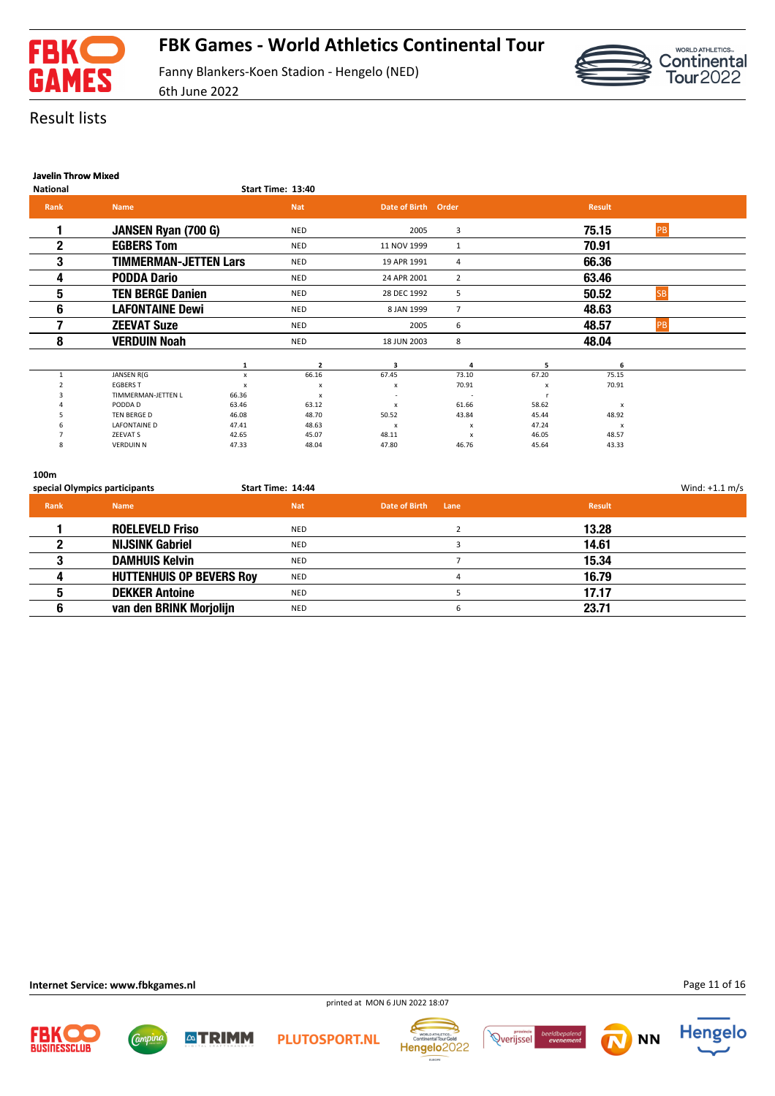



### Result lists

### **Javelin Throw Mixed**

| <b>National</b> |                              |                           | Start Time: 13:40         |                           |                  |                           |                           |           |  |
|-----------------|------------------------------|---------------------------|---------------------------|---------------------------|------------------|---------------------------|---------------------------|-----------|--|
| Rank            | <b>Name</b>                  |                           | <b>Nat</b>                | Date of Birth Order       |                  |                           | <b>Result</b>             |           |  |
|                 | JANSEN Ryan (700 G)          |                           | <b>NED</b>                | 2005                      | 3                |                           | 75.15                     | PB        |  |
| $\mathbf{2}$    | <b>EGBERS Tom</b>            |                           | <b>NED</b>                | 11 NOV 1999               |                  |                           | 70.91                     |           |  |
| 3               | <b>TIMMERMAN-JETTEN Lars</b> |                           | <b>NED</b>                | 19 APR 1991               | 4                |                           | 66.36                     |           |  |
| 4               | <b>PODDA Dario</b>           |                           | <b>NED</b>                | 24 APR 2001               | $\overline{2}$   |                           | 63.46                     |           |  |
| 5               | <b>TEN BERGE Danien</b>      |                           | <b>NED</b>                | 28 DEC 1992               | 5                |                           | 50.52                     | <b>SB</b> |  |
| 6               | <b>LAFONTAINE Dewi</b>       |                           | <b>NED</b>                | 8 JAN 1999                | $\overline{7}$   |                           | 48.63                     |           |  |
|                 | <b>ZEEVAT Suze</b>           |                           | <b>NED</b>                | 2005                      | 6                |                           | 48.57                     | PB        |  |
| 8               | <b>VERDUIN Noah</b>          |                           | <b>NED</b>                | 18 JUN 2003               | 8                |                           | 48.04                     |           |  |
|                 |                              | 1                         | $\overline{2}$            | $\overline{\mathbf{a}}$   | 4                | 5                         | 6                         |           |  |
|                 | JANSEN R(G                   | x                         | 66.16                     | 67.45                     | 73.10            | 67.20                     | 75.15                     |           |  |
|                 | <b>EGBERS T</b>              | $\boldsymbol{\mathsf{x}}$ | X                         | х                         | 70.91            | $\boldsymbol{\mathsf{x}}$ | 70.91                     |           |  |
|                 | TIMMERMAN-JETTEN L           | 66.36                     | $\boldsymbol{\mathsf{x}}$ |                           |                  |                           |                           |           |  |
|                 | PODDA D                      | 63.46                     | 63.12                     | $\boldsymbol{x}$          | 61.66            | 58.62                     | x                         |           |  |
|                 | <b>TEN BERGE D</b>           | 46.08                     | 48.70                     | 50.52                     | 43.84            | 45.44                     | 48.92                     |           |  |
|                 | <b>LAFONTAINE D</b>          | 47.41                     | 48.63                     | $\boldsymbol{\mathsf{x}}$ | $\boldsymbol{x}$ | 47.24                     | $\boldsymbol{\mathsf{x}}$ |           |  |
|                 | ZEEVAT S                     | 42.65                     | 45.07                     | 48.11                     | x                | 46.05                     | 48.57                     |           |  |
| 8               | <b>VERDUIN N</b>             | 47.33                     | 48.04                     | 47.80                     | 46.76            | 45.64                     | 43.33                     |           |  |

#### **100m**

|      | special Olympics participants   | Start Time: 14:44 |                       |        | Wind: $+1.1$ m/s |
|------|---------------------------------|-------------------|-----------------------|--------|------------------|
| Rank | <b>Name</b>                     | <b>Nat</b>        | Date of Birth<br>Lane | Result |                  |
|      | <b>ROELEVELD Friso</b>          | <b>NED</b>        |                       | 13.28  |                  |
|      | <b>NIJSINK Gabriel</b>          | NED               |                       | 14.61  |                  |
|      | <b>DAMHUIS Kelvin</b>           | <b>NED</b>        |                       | 15.34  |                  |
|      | <b>HUTTENHUIS OP BEVERS Roy</b> | <b>NED</b>        |                       | 16.79  |                  |
|      | <b>DEKKER Antoine</b>           | <b>NED</b>        |                       | 17.17  |                  |
|      | van den BRINK Morjolijn         | <b>NED</b>        | 6                     | 23.71  |                  |

*Campin* 

**ATRIMM** 

Hengelo<sup>2022</sup>

**PLUTOSPORT.NL** 









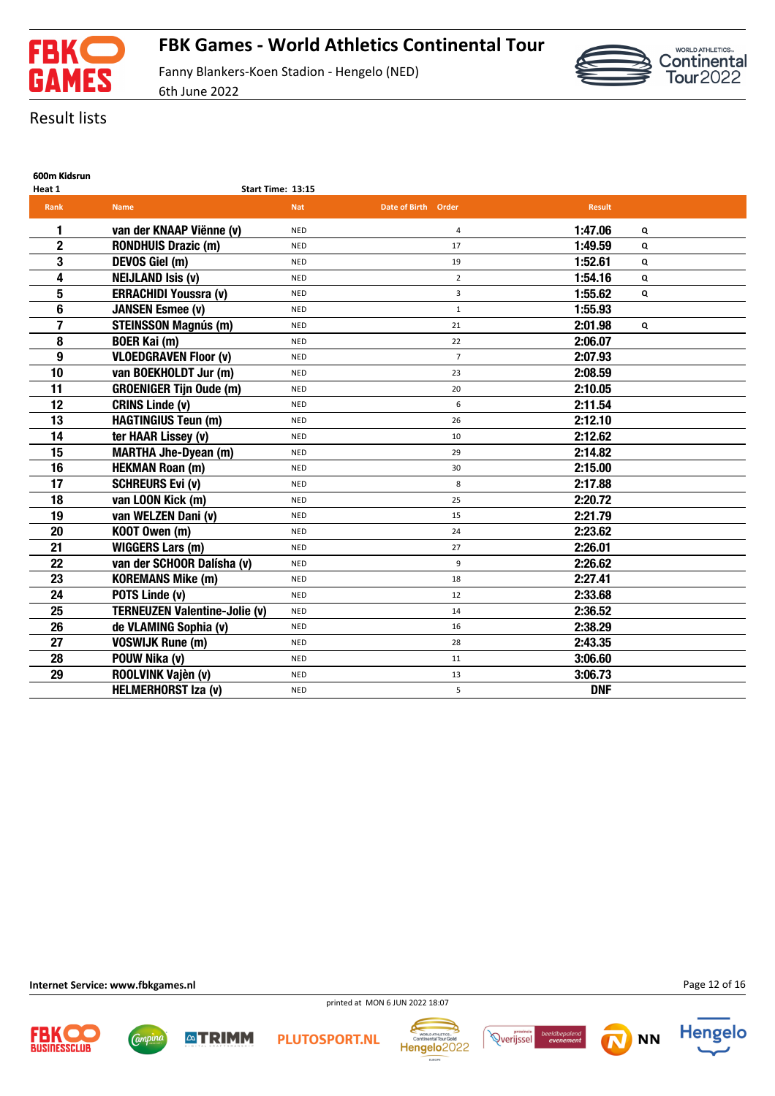



# Result lists

| ---------------- |                   |
|------------------|-------------------|
| Heat 1           | Start Time: 13:15 |

| <b>Rank</b>    | <b>Name</b>                          | <b>Nat</b> | Date of Birth Order | <b>Result</b> |   |
|----------------|--------------------------------------|------------|---------------------|---------------|---|
| 1              | van der KNAAP Viënne (v)             | <b>NED</b> | 4                   | 1:47.06       | Q |
| $\overline{2}$ | <b>RONDHUIS Drazic (m)</b>           | <b>NED</b> | 17                  | 1:49.59       | Q |
| 3              | DEVOS Giel (m)                       | <b>NED</b> | 19                  | 1:52.61       | Q |
| 4              | <b>NEIJLAND Isis (v)</b>             | <b>NED</b> | $\overline{2}$      | 1:54.16       | Q |
| 5              | <b>ERRACHIDI Youssra (v)</b>         | <b>NED</b> | 3                   | 1:55.62       | Q |
| 6              | <b>JANSEN Esmee (v)</b>              | <b>NED</b> | $\mathbf{1}$        | 1:55.93       |   |
| 7              | <b>STEINSSON Magnús (m)</b>          | <b>NED</b> | 21                  | 2:01.98       | Q |
| 8              | <b>BOER Kai (m)</b>                  | <b>NED</b> | 22                  | 2:06.07       |   |
| 9              | <b>VLOEDGRAVEN Floor (v)</b>         | <b>NED</b> | $\overline{7}$      | 2:07.93       |   |
| 10             | van BOEKHOLDT Jur (m)                | <b>NED</b> | 23                  | 2:08.59       |   |
| 11             | <b>GROENIGER Tijn Oude (m)</b>       | <b>NED</b> | 20                  | 2:10.05       |   |
| 12             | <b>CRINS Linde (v)</b>               | <b>NED</b> | 6                   | 2:11.54       |   |
| 13             | <b>HAGTINGIUS Teun (m)</b>           | <b>NED</b> | 26                  | 2:12.10       |   |
| 14             | ter HAAR Lissey (v)                  | <b>NED</b> | 10                  | 2:12.62       |   |
| 15             | <b>MARTHA Jhe-Dyean (m)</b>          | <b>NED</b> | 29                  | 2:14.82       |   |
| 16             | <b>HEKMAN Roan (m)</b>               | <b>NED</b> | 30                  | 2:15.00       |   |
| 17             | <b>SCHREURS Evi (v)</b>              | <b>NED</b> | 8                   | 2:17.88       |   |
| 18             | van LOON Kick (m)                    | <b>NED</b> | 25                  | 2:20.72       |   |
| 19             | van WELZEN Dani (v)                  | <b>NED</b> | 15                  | 2:21.79       |   |
| 20             | KOOT Owen (m)                        | <b>NED</b> | 24                  | 2:23.62       |   |
| 21             | <b>WIGGERS Lars (m)</b>              | <b>NED</b> | 27                  | 2:26.01       |   |
| 22             | van der SCHOOR Dalísha (v)           | <b>NED</b> | 9                   | 2:26.62       |   |
| 23             | <b>KOREMANS Mike (m)</b>             | <b>NED</b> | 18                  | 2:27.41       |   |
| 24             | POTS Linde (v)                       | <b>NED</b> | 12                  | 2:33.68       |   |
| 25             | <b>TERNEUZEN Valentine-Jolie (v)</b> | <b>NED</b> | 14                  | 2:36.52       |   |
| 26             | de VLAMING Sophia (v)                | <b>NED</b> | 16                  | 2:38.29       |   |
| 27             | <b>VOSWIJK Rune (m)</b>              | <b>NED</b> | 28                  | 2:43.35       |   |
| 28             | POUW Nika (v)                        | <b>NED</b> | 11                  | 3:06.60       |   |
| 29             | ROOLVINK Vajèn (v)                   | <b>NED</b> | 13                  | 3:06.73       |   |
|                | <b>HELMERHORST Iza (v)</b>           | <b>NED</b> | 5                   | <b>DNF</b>    |   |

**Internet Service: www.fbkgames.nl**

Campin

**ATRIMM** 











**NN**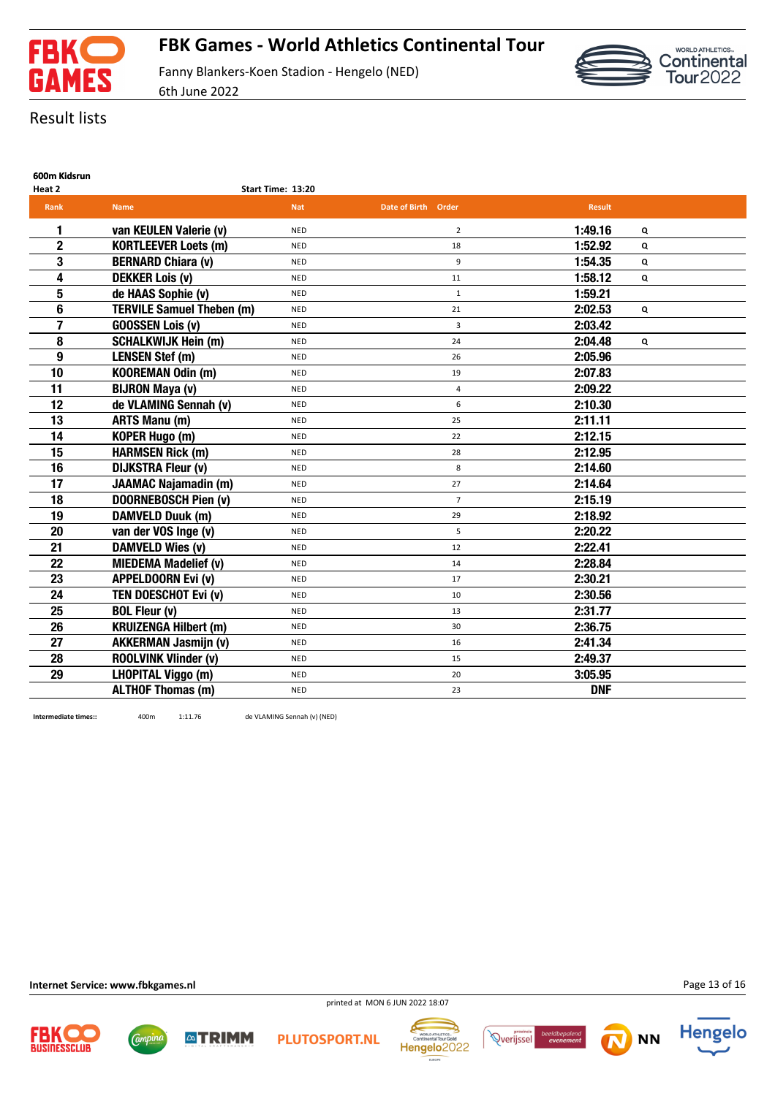



# Result lists

**600m Kidsrun**

| Heat 2         |                                  | Start Time: 13:20 |                     |               |   |  |
|----------------|----------------------------------|-------------------|---------------------|---------------|---|--|
| <b>Rank</b>    | <b>Name</b>                      | <b>Nat</b>        | Date of Birth Order | <b>Result</b> |   |  |
| 1              | van KEULEN Valerie (v)           | <b>NED</b>        | $\overline{2}$      | 1:49.16       | Q |  |
| $\overline{2}$ | <b>KORTLEEVER Loets (m)</b>      | <b>NED</b>        | 18                  | 1:52.92       | Q |  |
| 3              | <b>BERNARD Chiara (v)</b>        | <b>NED</b>        | 9                   | 1:54.35       | Q |  |
| 4              | <b>DEKKER Lois (v)</b>           | <b>NED</b>        | 11                  | 1:58.12       | Q |  |
| 5              | de HAAS Sophie (v)               | <b>NED</b>        | $\mathbf{1}$        | 1:59.21       |   |  |
| 6              | <b>TERVILE Samuel Theben (m)</b> | <b>NED</b>        | 21                  | 2:02.53       | Q |  |
| 7              | <b>GOOSSEN Lois (v)</b>          | <b>NED</b>        | 3                   | 2:03.42       |   |  |
| 8              | <b>SCHALKWIJK Hein (m)</b>       | <b>NED</b>        | 24                  | 2:04.48       | Q |  |
| 9              | <b>LENSEN Stef (m)</b>           | <b>NED</b>        | 26                  | 2:05.96       |   |  |
| 10             | <b>KOOREMAN Odin (m)</b>         | <b>NED</b>        | 19                  | 2:07.83       |   |  |
| 11             | <b>BIJRON Maya (v)</b>           | <b>NED</b>        | 4                   | 2:09.22       |   |  |
| 12             | de VLAMING Sennah (v)            | <b>NED</b>        | 6                   | 2:10.30       |   |  |
| 13             | <b>ARTS Manu (m)</b>             | <b>NED</b>        | 25                  | 2:11.11       |   |  |
| 14             | <b>KOPER Hugo (m)</b>            | <b>NED</b>        | 22                  | 2:12.15       |   |  |
| 15             | <b>HARMSEN Rick (m)</b>          | <b>NED</b>        | 28                  | 2:12.95       |   |  |
| 16             | <b>DIJKSTRA Fleur (v)</b>        | <b>NED</b>        | 8                   | 2:14.60       |   |  |
| 17             | <b>JAAMAC Najamadin (m)</b>      | <b>NED</b>        | 27                  | 2:14.64       |   |  |
| 18             | <b>DOORNEBOSCH Pien (v)</b>      | <b>NED</b>        | $\overline{7}$      | 2:15.19       |   |  |
| 19             | <b>DAMVELD Duuk (m)</b>          | <b>NED</b>        | 29                  | 2:18.92       |   |  |
| 20             | van der VOS Inge (v)             | <b>NED</b>        | 5                   | 2:20.22       |   |  |
| 21             | <b>DAMVELD Wies (v)</b>          | <b>NED</b>        | 12                  | 2:22.41       |   |  |
| 22             | <b>MIEDEMA Madelief (v)</b>      | <b>NED</b>        | 14                  | 2:28.84       |   |  |
| 23             | <b>APPELDOORN Evi (v)</b>        | <b>NED</b>        | 17                  | 2:30.21       |   |  |
| 24             | TEN DOESCHOT Evi (v)             | <b>NED</b>        | 10                  | 2:30.56       |   |  |
| 25             | <b>BOL Fleur (v)</b>             | <b>NED</b>        | 13                  | 2:31.77       |   |  |
| 26             | <b>KRUIZENGA Hilbert (m)</b>     | <b>NED</b>        | 30                  | 2:36.75       |   |  |
| 27             | <b>AKKERMAN Jasmijn (v)</b>      | <b>NED</b>        | 16                  | 2:41.34       |   |  |
| 28             | <b>ROOLVINK Vlinder (v)</b>      | <b>NED</b>        | 15                  | 2:49.37       |   |  |
| 29             | <b>LHOPITAL Viggo (m)</b>        | <b>NED</b>        | 20                  | 3:05.95       |   |  |
|                | <b>ALTHOF Thomas (m)</b>         | <b>NED</b>        | 23                  | <b>DNF</b>    |   |  |

**Intermediate times::** 400m 1:11.76 de VLAMING Sennah (v) (NED)

**ATRIMM** 

**Internet Service: www.fbkgames.nl**

Campin

Page 13 of 16



**PLUTOSPORT.NL** 

printed at MON 6 JUN 2022 18:07







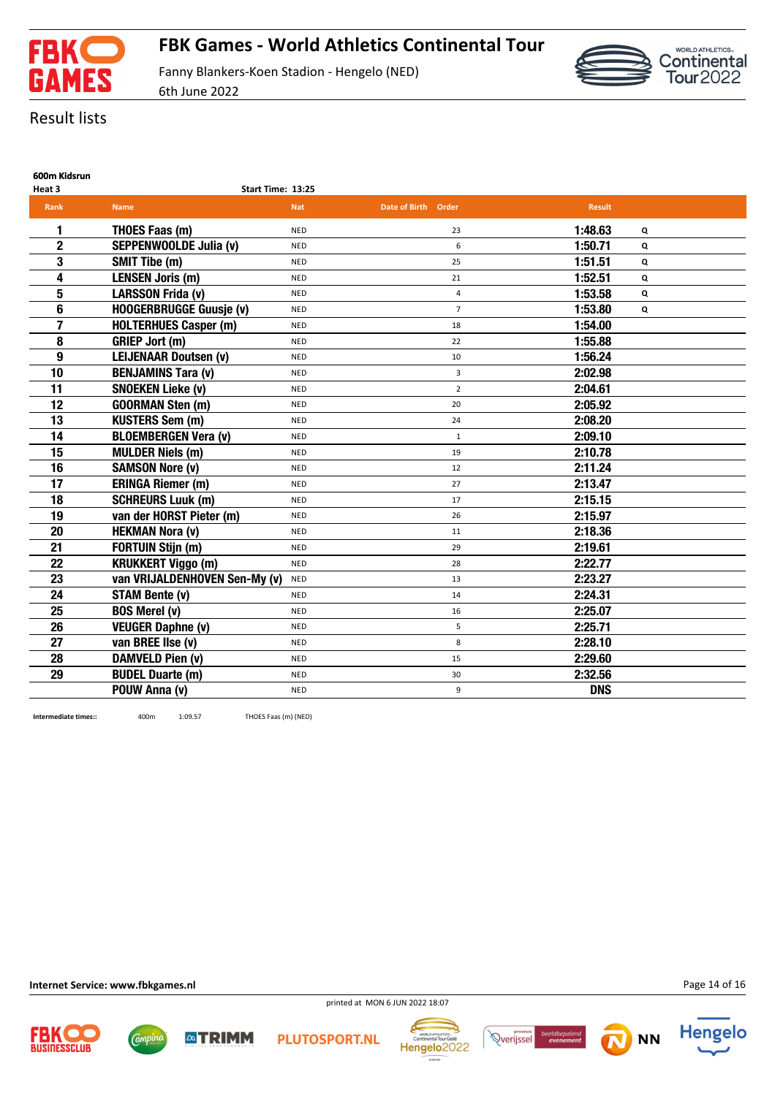

6th June 2022

Continental<br>Tour2022

Result lists

| 600m Kidsrun |  |
|--------------|--|
|              |  |

| Heat 3         | Start Time: 13:25              |            |                     |               |              |
|----------------|--------------------------------|------------|---------------------|---------------|--------------|
| <b>Rank</b>    | <b>Name</b>                    | <b>Nat</b> | Date of Birth Order | <b>Result</b> |              |
| 1              | THOES Faas (m)                 | <b>NED</b> | 23                  | 1:48.63       | Q            |
| $\overline{2}$ | SEPPENWOOLDE Julia (v)         | <b>NED</b> | 6                   | 1:50.71       | $\mathbf{Q}$ |
| 3              | <b>SMIT Tibe (m)</b>           | <b>NED</b> | 25                  | 1:51.51       | Q            |
| 4              | <b>LENSEN Joris (m)</b>        | <b>NED</b> | 21                  | 1:52.51       | Q            |
| 5              | <b>LARSSON Frida (v)</b>       | <b>NED</b> | 4                   | 1:53.58       | Q            |
| 6              | <b>HOOGERBRUGGE Guusje (v)</b> | <b>NED</b> | $\overline{7}$      | 1:53.80       | Q            |
| 7              | <b>HOLTERHUES Casper (m)</b>   | <b>NED</b> | 18                  | 1:54.00       |              |
| 8              | <b>GRIEP Jort (m)</b>          | <b>NED</b> | 22                  | 1:55.88       |              |
| 9              | <b>LEIJENAAR Doutsen (v)</b>   | <b>NED</b> | 10                  | 1:56.24       |              |
| 10             | <b>BENJAMINS Tara (v)</b>      | <b>NED</b> | 3                   | 2:02.98       |              |
| 11             | <b>SNOEKEN Lieke (v)</b>       | <b>NED</b> | $\overline{2}$      | 2:04.61       |              |
| 12             | <b>GOORMAN Sten (m)</b>        | <b>NED</b> | 20                  | 2:05.92       |              |
| 13             | <b>KUSTERS Sem (m)</b>         | <b>NED</b> | 24                  | 2:08.20       |              |
| 14             | <b>BLOEMBERGEN Vera (v)</b>    | <b>NED</b> | $\mathbf{1}$        | 2:09.10       |              |
| 15             | <b>MULDER Niels (m)</b>        | <b>NED</b> | 19                  | 2:10.78       |              |
| 16             | <b>SAMSON Nore (v)</b>         | <b>NED</b> | 12                  | 2:11.24       |              |
| 17             | <b>ERINGA Riemer (m)</b>       | <b>NED</b> | 27                  | 2:13.47       |              |
| 18             | <b>SCHREURS Luuk (m)</b>       | <b>NED</b> | 17                  | 2:15.15       |              |
| 19             | van der HORST Pieter (m)       | <b>NED</b> | 26                  | 2:15.97       |              |
| 20             | <b>HEKMAN Nora (v)</b>         | <b>NED</b> | 11                  | 2:18.36       |              |
| 21             | <b>FORTUIN Stijn (m)</b>       | <b>NED</b> | 29                  | 2:19.61       |              |
| 22             | <b>KRUKKERT Viggo (m)</b>      | <b>NED</b> | 28                  | 2:22.77       |              |
| 23             | van VRIJALDENHOVEN Sen-My (v)  | <b>NED</b> | 13                  | 2:23.27       |              |
| 24             | <b>STAM Bente (v)</b>          | <b>NED</b> | 14                  | 2:24.31       |              |
| 25             | <b>BOS Merel (v)</b>           | <b>NED</b> | 16                  | 2:25.07       |              |
| 26             | <b>VEUGER Daphne (v)</b>       | <b>NED</b> | 5                   | 2:25.71       |              |
| 27             | van BREE IIse (v)              | <b>NED</b> | 8                   | 2:28.10       |              |
| 28             | DAMVELD Pien (v)               | <b>NED</b> | 15                  | 2:29.60       |              |
| 29             | <b>BUDEL Duarte (m)</b>        | <b>NED</b> | 30                  | 2:32.56       |              |
|                | POUW Anna (v)                  | <b>NED</b> | 9                   | <b>DNS</b>    |              |

**Intermediate times::** 400m 1:09.57 THOES Faas (m) (NED)

**Internet Service: www.fbkgames.nl**

Campin

Page 14 of 16





**ATRIMM** 

**PLUTOSPORT.NL** 

printed at MON 6 JUN 2022 18:07







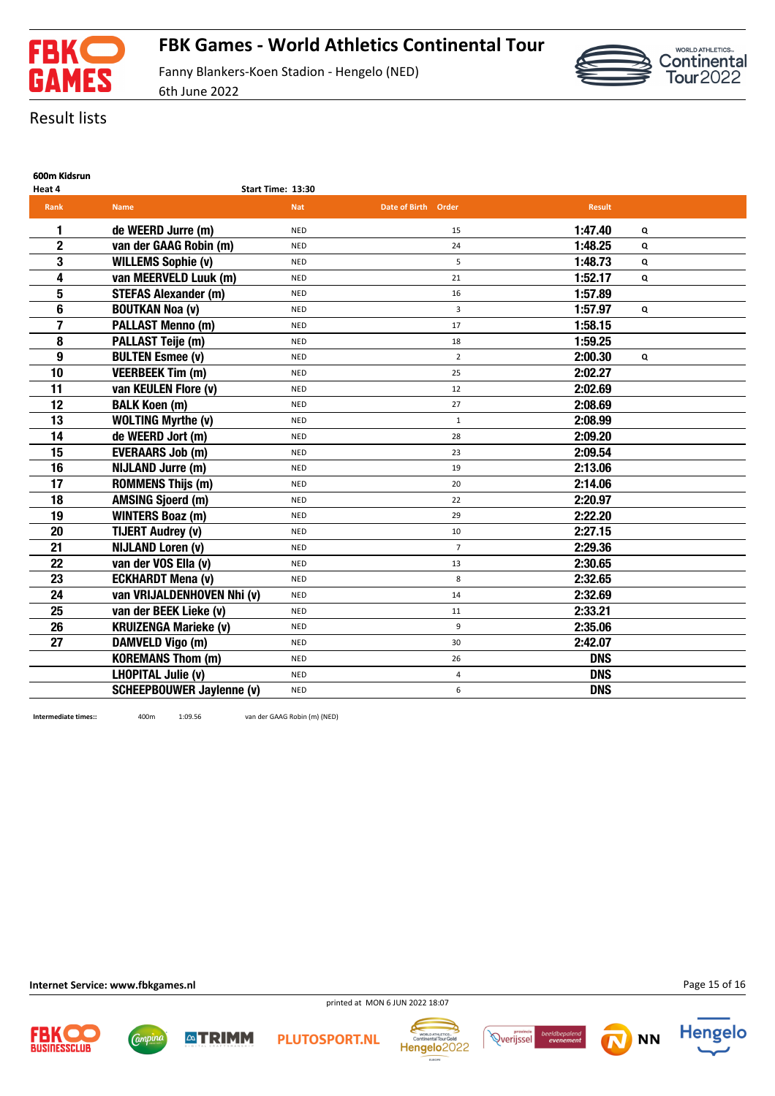



# Result lists

| 600m Kidsrun |
|--------------|
|              |

| Heat 4                  |                                  | Start Time: 13:30 |                     |               |   |  |
|-------------------------|----------------------------------|-------------------|---------------------|---------------|---|--|
| <b>Rank</b>             | <b>Name</b>                      | <b>Nat</b>        | Date of Birth Order | <b>Result</b> |   |  |
| 1                       | de WEERD Jurre (m)               | <b>NED</b>        | 15                  | 1:47.40       | Q |  |
| $\overline{2}$          | van der GAAG Robin (m)           | <b>NED</b>        | 24                  | 1:48.25       | Q |  |
| 3                       | <b>WILLEMS Sophie (v)</b>        | <b>NED</b>        | 5                   | 1:48.73       | Q |  |
| 4                       | van MEERVELD Luuk (m)            | <b>NED</b>        | 21                  | 1:52.17       | Q |  |
| 5                       | <b>STEFAS Alexander (m)</b>      | <b>NED</b>        | 16                  | 1:57.89       |   |  |
| 6                       | <b>BOUTKAN Noa (v)</b>           | <b>NED</b>        | 3                   | 1:57.97       | Q |  |
| $\overline{\mathbf{z}}$ | <b>PALLAST Menno (m)</b>         | <b>NED</b>        | 17                  | 1:58.15       |   |  |
| 8                       | <b>PALLAST Teije (m)</b>         | <b>NED</b>        | 18                  | 1:59.25       |   |  |
| $\boldsymbol{9}$        | <b>BULTEN Esmee (v)</b>          | <b>NED</b>        | $\overline{2}$      | 2:00.30       | Q |  |
| 10                      | <b>VEERBEEK Tim (m)</b>          | <b>NED</b>        | 25                  | 2:02.27       |   |  |
| 11                      | van KEULEN Flore (v)             | <b>NED</b>        | 12                  | 2:02.69       |   |  |
| 12                      | <b>BALK Koen (m)</b>             | <b>NED</b>        | 27                  | 2:08.69       |   |  |
| 13                      | <b>WOLTING Myrthe (v)</b>        | <b>NED</b>        | $\mathbf{1}$        | 2:08.99       |   |  |
| 14                      | de WEERD Jort (m)                | <b>NED</b>        | 28                  | 2:09.20       |   |  |
| 15                      | <b>EVERAARS Job (m)</b>          | <b>NED</b>        | 23                  | 2:09.54       |   |  |
| 16                      | <b>NIJLAND Jurre (m)</b>         | <b>NED</b>        | 19                  | 2:13.06       |   |  |
| 17                      | <b>ROMMENS Thijs (m)</b>         | <b>NED</b>        | 20                  | 2:14.06       |   |  |
| 18                      | <b>AMSING Sjoerd (m)</b>         | <b>NED</b>        | 22                  | 2:20.97       |   |  |
| 19                      | <b>WINTERS Boaz (m)</b>          | <b>NED</b>        | 29                  | 2:22.20       |   |  |
| 20                      | <b>TIJERT Audrey (v)</b>         | <b>NED</b>        | 10                  | 2:27.15       |   |  |
| 21                      | <b>NIJLAND Loren (v)</b>         | <b>NED</b>        | $\overline{7}$      | 2:29.36       |   |  |
| 22                      | van der VOS Ella (v)             | <b>NED</b>        | 13                  | 2:30.65       |   |  |
| 23                      | <b>ECKHARDT Mena (v)</b>         | <b>NED</b>        | 8                   | 2:32.65       |   |  |
| 24                      | van VRIJALDENHOVEN Nhi (v)       | <b>NED</b>        | 14                  | 2:32.69       |   |  |
| 25                      | van der BEEK Lieke (v)           | <b>NED</b>        | 11                  | 2:33.21       |   |  |
| 26                      | <b>KRUIZENGA Marieke (v)</b>     | <b>NED</b>        | 9                   | 2:35.06       |   |  |
| 27                      | <b>DAMVELD Vigo (m)</b>          | <b>NED</b>        | 30                  | 2:42.07       |   |  |
|                         | <b>KOREMANS Thom (m)</b>         | <b>NED</b>        | 26                  | <b>DNS</b>    |   |  |
|                         | <b>LHOPITAL Julie (v)</b>        | <b>NED</b>        | 4                   | <b>DNS</b>    |   |  |
|                         | <b>SCHEEPBOUWER Jaylenne (v)</b> | <b>NED</b>        | 6                   | <b>DNS</b>    |   |  |

**Intermediate times::** 400m 1:09.56 van der GAAG Robin (m) (NED)

**Internet Service: www.fbkgames.nl**

*Campine* 

Page 15 of 16